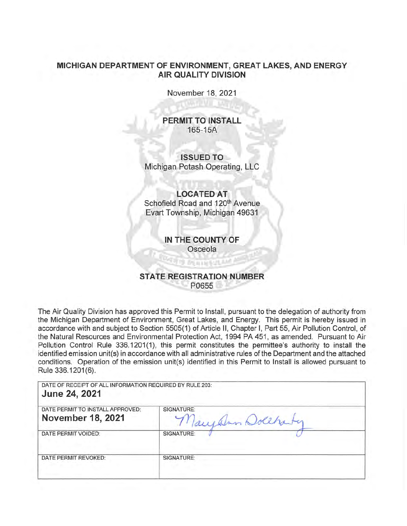## **MICHIGAN DEPARTMENT OF ENVIRONMENT, GREAT LAKES, AND ENERGY AIR QUALITY DIVISION**

November 18, 2021

**PERMIT TO INSTALL**  $165 - 15A$ 

/ **ISSUED TO .:**  Michigan Potash Operating, LLC

## LOCATED AT

Schofield Road and 120<sup>th</sup> Avenue Evart Township, Michigan 49631

> **IN THE COUNTY OF** Osceola

<u>lage</u> bennett

## **STATE REGISTRATION NUMBER** P0655

The Air Quality Division has approved this Permit to Install, pursuant to the delegation of authority from the Michigan Department of Environment, Great Lakes, and Energy. This permit is hereby issued in accordance with and subject to Section 5505(1) of Article II, Chapter I, Part 55, Air Pollution Control, of the Natural Resources and Environmental Protection Act, 1994 PA 451, as amended. Pursuant to Air Pollution Control Rule 336.1201(1), this permit constitutes the permittee's authority to install the identified emission unit(s) in accordance with all administrative rules of the Department and the attached conditions. Operation of the emission unit(s) identified in this Permit to Install is allowed pursuant to Rule 336.1201 (6).

DATE OF RECEIPT OF ALL INFORMATION REQUIRED BY RULE 203: **June 24, 2021** 

| DATE PERMIT TO INSTALL APPROVED:<br><b>November 18, 2021</b> | SIGNATURE:<br>Inn Dollhauty |
|--------------------------------------------------------------|-----------------------------|
| DATE PERMIT VOIDED:                                          | SIGNATURE:                  |
| DATE PERMIT REVOKED:                                         | SIGNATURE:                  |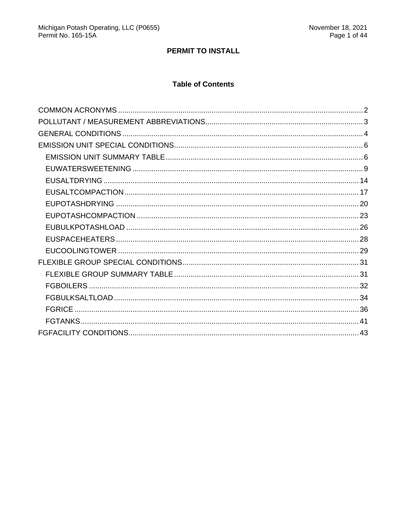## PERMIT TO INSTALL

## **Table of Contents**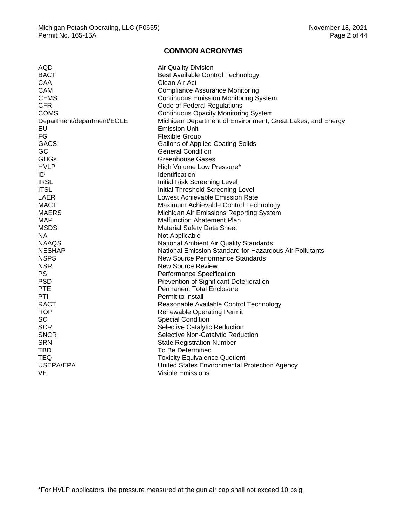### **COMMON ACRONYMS**

<span id="page-2-0"></span>

| AQD                        | <b>Air Quality Division</b>                                 |
|----------------------------|-------------------------------------------------------------|
| <b>BACT</b>                | <b>Best Available Control Technology</b>                    |
| <b>CAA</b>                 | Clean Air Act                                               |
| <b>CAM</b>                 | <b>Compliance Assurance Monitoring</b>                      |
| <b>CEMS</b>                | <b>Continuous Emission Monitoring System</b>                |
| <b>CFR</b>                 | Code of Federal Regulations                                 |
| <b>COMS</b>                | <b>Continuous Opacity Monitoring System</b>                 |
| Department/department/EGLE | Michigan Department of Environment, Great Lakes, and Energy |
| EU                         | <b>Emission Unit</b>                                        |
| FG                         | <b>Flexible Group</b>                                       |
| <b>GACS</b>                | <b>Gallons of Applied Coating Solids</b>                    |
| GC                         | <b>General Condition</b>                                    |
| GHGs                       | Greenhouse Gases                                            |
| <b>HVLP</b>                | High Volume Low Pressure*                                   |
| ID                         | Identification                                              |
| <b>IRSL</b>                | Initial Risk Screening Level                                |
| <b>ITSL</b>                | Initial Threshold Screening Level                           |
| LAER                       | Lowest Achievable Emission Rate                             |
| MACT                       | Maximum Achievable Control Technology                       |
| <b>MAERS</b>               | Michigan Air Emissions Reporting System                     |
| <b>MAP</b>                 | <b>Malfunction Abatement Plan</b>                           |
| <b>MSDS</b>                | <b>Material Safety Data Sheet</b>                           |
| NA.                        | Not Applicable                                              |
| <b>NAAQS</b>               | National Ambient Air Quality Standards                      |
| <b>NESHAP</b>              | National Emission Standard for Hazardous Air Pollutants     |
| <b>NSPS</b>                | New Source Performance Standards                            |
| <b>NSR</b>                 | <b>New Source Review</b>                                    |
| <b>PS</b>                  | Performance Specification                                   |
| <b>PSD</b>                 | Prevention of Significant Deterioration                     |
| <b>PTE</b>                 | <b>Permanent Total Enclosure</b>                            |
| PTI                        | Permit to Install                                           |
| <b>RACT</b>                | Reasonable Available Control Technology                     |
| <b>ROP</b>                 | <b>Renewable Operating Permit</b>                           |
| <b>SC</b>                  | <b>Special Condition</b>                                    |
| <b>SCR</b>                 | Selective Catalytic Reduction                               |
| <b>SNCR</b>                | Selective Non-Catalytic Reduction                           |
| <b>SRN</b>                 | <b>State Registration Number</b>                            |
| <b>TBD</b>                 | To Be Determined                                            |
| <b>TEQ</b>                 | <b>Toxicity Equivalence Quotient</b>                        |
| USEPA/EPA                  | United States Environmental Protection Agency               |
| VE                         | Visible Emissions                                           |
|                            |                                                             |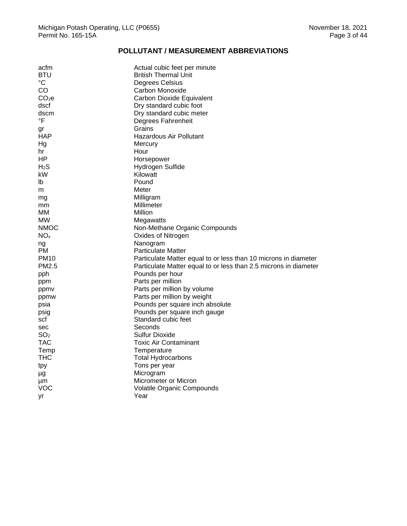## **POLLUTANT / MEASUREMENT ABBREVIATIONS**

<span id="page-3-0"></span>

| acfm              | Actual cubic feet per minute                                     |
|-------------------|------------------------------------------------------------------|
| <b>BTU</b>        | British Thermal Unit                                             |
| $^{\circ}{\rm C}$ | Degrees Celsius                                                  |
| CO                | Carbon Monoxide                                                  |
| CO <sub>2</sub> e | Carbon Dioxide Equivalent                                        |
| dscf              | Dry standard cubic foot                                          |
| dscm              | Dry standard cubic meter                                         |
| °F                | Degrees Fahrenheit                                               |
| gr                | Grains                                                           |
| <b>HAP</b>        | Hazardous Air Pollutant                                          |
| Hg                | Mercury                                                          |
| hr                | Hour                                                             |
| ΗP                | Horsepower                                                       |
| H <sub>2</sub> S  | Hydrogen Sulfide                                                 |
| kW                | Kilowatt                                                         |
| lb                | Pound                                                            |
| m                 | Meter                                                            |
| mg                | Milligram                                                        |
| mm                | Millimeter                                                       |
| MМ                | Million                                                          |
| MW                | Megawatts                                                        |
| <b>NMOC</b>       | Non-Methane Organic Compounds                                    |
| NO <sub>x</sub>   | Oxides of Nitrogen                                               |
| ng                | Nanogram                                                         |
| PМ                | <b>Particulate Matter</b>                                        |
| PM <sub>10</sub>  | Particulate Matter equal to or less than 10 microns in diameter  |
| PM2.5             | Particulate Matter equal to or less than 2.5 microns in diameter |
| pph               | Pounds per hour                                                  |
| ppm               | Parts per million                                                |
| ppmv              | Parts per million by volume                                      |
| ppmw              | Parts per million by weight                                      |
| psia              | Pounds per square inch absolute                                  |
| psig              | Pounds per square inch gauge                                     |
| scf               | Standard cubic feet                                              |
| sec               | Seconds                                                          |
| SO <sub>2</sub>   | Sulfur Dioxide                                                   |
| TAC               | <b>Toxic Air Contaminant</b>                                     |
| Temp              | Temperature                                                      |
| тнс               | <b>Total Hydrocarbons</b>                                        |
| tpy               | Tons per year                                                    |
| μg                | Microgram                                                        |
| μm                | Micrometer or Micron                                             |
| VOC               | Volatile Organic Compounds                                       |
| уr                | Year                                                             |
|                   |                                                                  |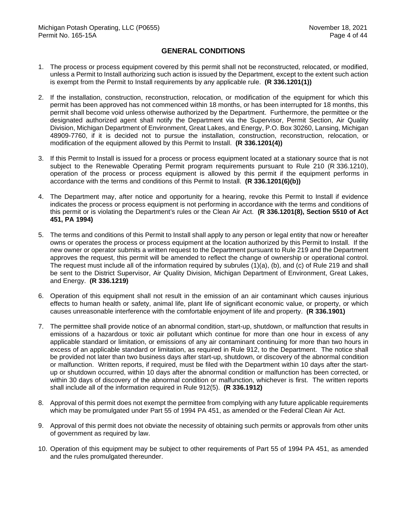### **GENERAL CONDITIONS**

- <span id="page-4-0"></span>1. The process or process equipment covered by this permit shall not be reconstructed, relocated, or modified, unless a Permit to Install authorizing such action is issued by the Department, except to the extent such action is exempt from the Permit to Install requirements by any applicable rule. **(R 336.1201(1))**
- 2. If the installation, construction, reconstruction, relocation, or modification of the equipment for which this permit has been approved has not commenced within 18 months, or has been interrupted for 18 months, this permit shall become void unless otherwise authorized by the Department. Furthermore, the permittee or the designated authorized agent shall notify the Department via the Supervisor, Permit Section, Air Quality Division, Michigan Department of Environment, Great Lakes, and Energy, P.O. Box 30260, Lansing, Michigan 48909-7760, if it is decided not to pursue the installation, construction, reconstruction, relocation, or modification of the equipment allowed by this Permit to Install. **(R 336.1201(4))**
- 3. If this Permit to Install is issued for a process or process equipment located at a stationary source that is not subject to the Renewable Operating Permit program requirements pursuant to Rule 210 (R 336.1210), operation of the process or process equipment is allowed by this permit if the equipment performs in accordance with the terms and conditions of this Permit to Install. **(R 336.1201(6)(b))**
- 4. The Department may, after notice and opportunity for a hearing, revoke this Permit to Install if evidence indicates the process or process equipment is not performing in accordance with the terms and conditions of this permit or is violating the Department's rules or the Clean Air Act. **(R 336.1201(8), Section 5510 of Act 451, PA 1994)**
- 5. The terms and conditions of this Permit to Install shall apply to any person or legal entity that now or hereafter owns or operates the process or process equipment at the location authorized by this Permit to Install. If the new owner or operator submits a written request to the Department pursuant to Rule 219 and the Department approves the request, this permit will be amended to reflect the change of ownership or operational control. The request must include all of the information required by subrules (1)(a), (b), and (c) of Rule 219 and shall be sent to the District Supervisor, Air Quality Division, Michigan Department of Environment, Great Lakes, and Energy. **(R 336.1219)**
- 6. Operation of this equipment shall not result in the emission of an air contaminant which causes injurious effects to human health or safety, animal life, plant life of significant economic value, or property, or which causes unreasonable interference with the comfortable enjoyment of life and property. **(R 336.1901)**
- 7. The permittee shall provide notice of an abnormal condition, start-up, shutdown, or malfunction that results in emissions of a hazardous or toxic air pollutant which continue for more than one hour in excess of any applicable standard or limitation, or emissions of any air contaminant continuing for more than two hours in excess of an applicable standard or limitation, as required in Rule 912, to the Department. The notice shall be provided not later than two business days after start-up, shutdown, or discovery of the abnormal condition or malfunction. Written reports, if required, must be filed with the Department within 10 days after the startup or shutdown occurred, within 10 days after the abnormal condition or malfunction has been corrected, or within 30 days of discovery of the abnormal condition or malfunction, whichever is first. The written reports shall include all of the information required in Rule 912(5). **(R 336.1912)**
- 8. Approval of this permit does not exempt the permittee from complying with any future applicable requirements which may be promulgated under Part 55 of 1994 PA 451, as amended or the Federal Clean Air Act.
- 9. Approval of this permit does not obviate the necessity of obtaining such permits or approvals from other units of government as required by law.
- 10. Operation of this equipment may be subject to other requirements of Part 55 of 1994 PA 451, as amended and the rules promulgated thereunder.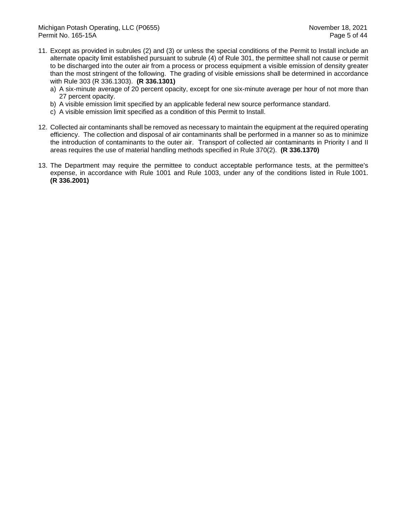- 11. Except as provided in subrules (2) and (3) or unless the special conditions of the Permit to Install include an alternate opacity limit established pursuant to subrule (4) of Rule 301, the permittee shall not cause or permit to be discharged into the outer air from a process or process equipment a visible emission of density greater than the most stringent of the following. The grading of visible emissions shall be determined in accordance with Rule 303 (R 336.1303). **(R 336.1301)**
	- a) A six-minute average of 20 percent opacity, except for one six-minute average per hour of not more than 27 percent opacity.
	- b) A visible emission limit specified by an applicable federal new source performance standard.
	- c) A visible emission limit specified as a condition of this Permit to Install.
- 12. Collected air contaminants shall be removed as necessary to maintain the equipment at the required operating efficiency. The collection and disposal of air contaminants shall be performed in a manner so as to minimize the introduction of contaminants to the outer air. Transport of collected air contaminants in Priority I and II areas requires the use of material handling methods specified in Rule 370(2). **(R 336.1370)**
- 13. The Department may require the permittee to conduct acceptable performance tests, at the permittee's expense, in accordance with Rule 1001 and Rule 1003, under any of the conditions listed in Rule 1001. **(R 336.2001)**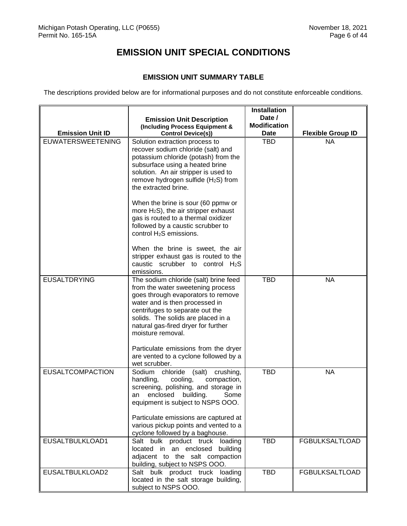# **EMISSION UNIT SPECIAL CONDITIONS**

## **EMISSION UNIT SUMMARY TABLE**

<span id="page-6-1"></span><span id="page-6-0"></span>The descriptions provided below are for informational purposes and do not constitute enforceable conditions.

|                          | <b>Emission Unit Description</b><br>(Including Process Equipment &                                                                                                                                                                                                                                                              | Date /<br><b>Modification</b> |                          |
|--------------------------|---------------------------------------------------------------------------------------------------------------------------------------------------------------------------------------------------------------------------------------------------------------------------------------------------------------------------------|-------------------------------|--------------------------|
| <b>Emission Unit ID</b>  | <b>Control Device(s))</b>                                                                                                                                                                                                                                                                                                       | <b>Date</b>                   | <b>Flexible Group ID</b> |
| <b>EUWATERSWEETENING</b> | Solution extraction process to<br>recover sodium chloride (salt) and<br>potassium chloride (potash) from the<br>subsurface using a heated brine<br>solution. An air stripper is used to<br>remove hydrogen sulfide (H <sub>2</sub> S) from<br>the extracted brine.                                                              | TBD                           | <b>NA</b>                |
|                          | When the brine is sour (60 ppmw or<br>more $H_2S$ ), the air stripper exhaust<br>gas is routed to a thermal oxidizer<br>followed by a caustic scrubber to<br>control H <sub>2</sub> S emissions.                                                                                                                                |                               |                          |
|                          | When the brine is sweet, the air<br>stripper exhaust gas is routed to the<br>caustic scrubber to control $H_2S$<br>emissions.                                                                                                                                                                                                   |                               |                          |
| <b>EUSALTDRYING</b>      | The sodium chloride (salt) brine feed<br>from the water sweetening process<br>goes through evaporators to remove<br>water and is then processed in<br>centrifuges to separate out the<br>solids. The solids are placed in a<br>natural gas-fired dryer for further<br>moisture removal.<br>Particulate emissions from the dryer | <b>TBD</b>                    | <b>NA</b>                |
|                          | are vented to a cyclone followed by a<br>wet scrubber.                                                                                                                                                                                                                                                                          |                               |                          |
| <b>EUSALTCOMPACTION</b>  | Sodium chloride<br>(salt)<br>crushing,<br>handling,<br>compaction,<br>cooling,<br>screening, polishing, and storage in<br>enclosed<br>building.<br>Some<br>an<br>equipment is subject to NSPS OOO.                                                                                                                              | <b>TBD</b>                    | <b>NA</b>                |
|                          | Particulate emissions are captured at<br>various pickup points and vented to a<br>cyclone followed by a baghouse.                                                                                                                                                                                                               |                               |                          |
| EUSALTBULKLOAD1          | Salt bulk product truck loading<br>located in an enclosed building<br>adjacent to the salt compaction<br>building, subject to NSPS OOO.                                                                                                                                                                                         | <b>TBD</b>                    | <b>FGBULKSALTLOAD</b>    |
| EUSALTBULKLOAD2          | Salt bulk product truck loading<br>located in the salt storage building,<br>subject to NSPS OOO.                                                                                                                                                                                                                                | <b>TBD</b>                    | <b>FGBULKSALTLOAD</b>    |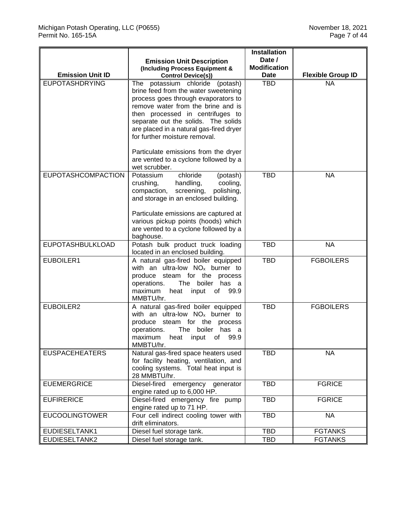|                           |                                                                                                                                                                                                                                                                                                                                                                                                                  | <b>Installation</b><br>Date / |                          |
|---------------------------|------------------------------------------------------------------------------------------------------------------------------------------------------------------------------------------------------------------------------------------------------------------------------------------------------------------------------------------------------------------------------------------------------------------|-------------------------------|--------------------------|
|                           | <b>Emission Unit Description</b><br>(Including Process Equipment &                                                                                                                                                                                                                                                                                                                                               | <b>Modification</b>           |                          |
| <b>Emission Unit ID</b>   | <b>Control Device(s))</b>                                                                                                                                                                                                                                                                                                                                                                                        | Date                          | <b>Flexible Group ID</b> |
| <b>EUPOTASHDRYING</b>     | The<br>potassium chloride (potash)<br>brine feed from the water sweetening<br>process goes through evaporators to<br>remove water from the brine and is<br>then processed in centrifuges to<br>separate out the solids. The solids<br>are placed in a natural gas-fired dryer<br>for further moisture removal.<br>Particulate emissions from the dryer<br>are vented to a cyclone followed by a<br>wet scrubber. | <b>TBD</b>                    | <b>NA</b>                |
| <b>EUPOTASHCOMPACTION</b> | Potassium<br>chloride<br>(potash)<br>crushing,<br>handling,<br>cooling,<br>screening,<br>compaction,<br>polishing,<br>and storage in an enclosed building.<br>Particulate emissions are captured at<br>various pickup points (hoods) which<br>are vented to a cyclone followed by a<br>baghouse.                                                                                                                 | <b>TBD</b>                    | <b>NA</b>                |
| <b>EUPOTASHBULKLOAD</b>   | Potash bulk product truck loading<br>located in an enclosed building.                                                                                                                                                                                                                                                                                                                                            | <b>TBD</b>                    | <b>NA</b>                |
| EUBOILER1                 | A natural gas-fired boiler equipped<br>with an ultra-low $NO_x$ burner to<br>produce steam for the process<br>The boiler has a<br>operations.<br>maximum<br>input<br>heat<br>of 99.9<br>MMBTU/hr.                                                                                                                                                                                                                | <b>TBD</b>                    | <b>FGBOILERS</b>         |
| EUBOILER2                 | A natural gas-fired boiler equipped<br>with an ultra-low $NOx$ burner to<br>produce steam for the process<br>operations.<br>The boiler has a<br>maximum<br>99.9<br>heat<br>input<br>of<br>MMBTU/hr.                                                                                                                                                                                                              | <b>TBD</b>                    | <b>FGBOILERS</b>         |
| <b>EUSPACEHEATERS</b>     | Natural gas-fired space heaters used<br>for facility heating, ventilation, and<br>cooling systems. Total heat input is<br>28 MMBTU/hr.                                                                                                                                                                                                                                                                           | <b>TBD</b>                    | <b>NA</b>                |
| <b>EUEMERGRICE</b>        | Diesel-fired emergency generator<br>engine rated up to 6,000 HP.                                                                                                                                                                                                                                                                                                                                                 | <b>TBD</b>                    | <b>FGRICE</b>            |
| <b>EUFIRERICE</b>         | Diesel-fired emergency fire pump<br>engine rated up to 71 HP.                                                                                                                                                                                                                                                                                                                                                    | <b>TBD</b>                    | <b>FGRICE</b>            |
| <b>EUCOOLINGTOWER</b>     | Four cell indirect cooling tower with<br>drift eliminators.                                                                                                                                                                                                                                                                                                                                                      | <b>TBD</b>                    | <b>NA</b>                |
| EUDIESELTANK1             | Diesel fuel storage tank.                                                                                                                                                                                                                                                                                                                                                                                        | <b>TBD</b>                    | <b>FGTANKS</b>           |
| EUDIESELTANK2             | Diesel fuel storage tank.                                                                                                                                                                                                                                                                                                                                                                                        | <b>TBD</b>                    | <b>FGTANKS</b>           |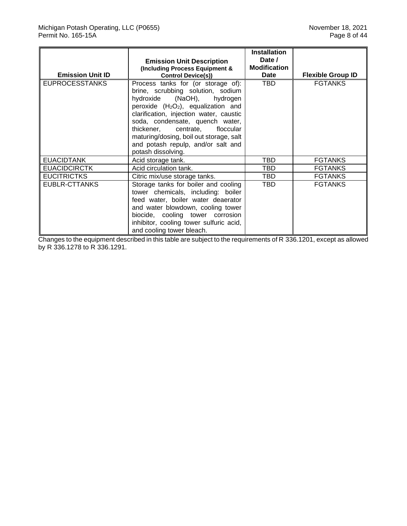|                         |                                                                                                                                                                                                                                                                                                                                                                                                | <b>Installation</b> |                          |
|-------------------------|------------------------------------------------------------------------------------------------------------------------------------------------------------------------------------------------------------------------------------------------------------------------------------------------------------------------------------------------------------------------------------------------|---------------------|--------------------------|
|                         | <b>Emission Unit Description</b>                                                                                                                                                                                                                                                                                                                                                               | Date /              |                          |
|                         | (Including Process Equipment &                                                                                                                                                                                                                                                                                                                                                                 | <b>Modification</b> |                          |
| <b>Emission Unit ID</b> | <b>Control Device(s))</b>                                                                                                                                                                                                                                                                                                                                                                      | <b>Date</b>         | <b>Flexible Group ID</b> |
| <b>EUPROCESSTANKS</b>   | Process tanks for (or storage of):<br>brine, scrubbing solution, sodium<br>hydroxide (NaOH),<br>hydrogen<br>peroxide (H <sub>2</sub> O <sub>2</sub> ), equalization and<br>clarification, injection water, caustic<br>soda, condensate, quench water,<br>thickener, centrate, floccular<br>maturing/dosing, boil out storage, salt<br>and potash repulp, and/or salt and<br>potash dissolving. | <b>TBD</b>          | <b>FGTANKS</b>           |
| <b>EUACIDTANK</b>       | Acid storage tank.                                                                                                                                                                                                                                                                                                                                                                             | TBD                 | <b>FGTANKS</b>           |
| <b>EUACIDCIRCTK</b>     | Acid circulation tank.                                                                                                                                                                                                                                                                                                                                                                         | TBD                 | <b>FGTANKS</b>           |
| <b>EUCITRICTKS</b>      | Citric mix/use storage tanks.                                                                                                                                                                                                                                                                                                                                                                  | TBD                 | <b>FGTANKS</b>           |
| EUBLR-CTTANKS           | Storage tanks for boiler and cooling<br>tower chemicals, including: boiler<br>feed water, boiler water deaerator<br>and water blowdown, cooling tower<br>biocide, cooling tower corrosion<br>inhibitor, cooling tower sulfuric acid,<br>and cooling tower bleach.                                                                                                                              | <b>TBD</b>          | <b>FGTANKS</b>           |

Changes to the equipment described in this table are subject to the requirements of R 336.1201, except as allowed by R 336.1278 to R 336.1291.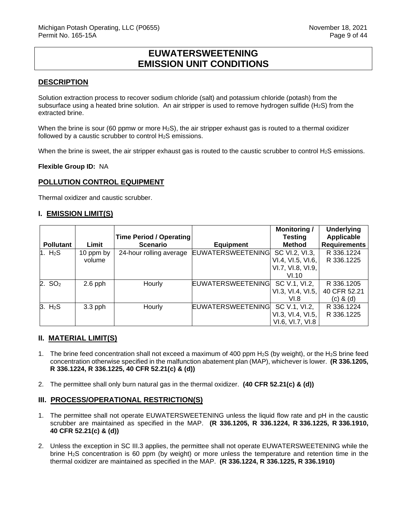## **EUWATERSWEETENING EMISSION UNIT CONDITIONS**

### <span id="page-9-0"></span>**DESCRIPTION**

Solution extraction process to recover sodium chloride (salt) and potassium chloride (potash) from the subsurface using a heated brine solution. An air stripper is used to remove hydrogen sulfide ( $H_2S$ ) from the extracted brine.

When the brine is sour (60 ppmw or more  $H_2S$ ), the air stripper exhaust gas is routed to a thermal oxidizer followed by a caustic scrubber to control H<sub>2</sub>S emissions.

When the brine is sweet, the air stripper exhaust gas is routed to the caustic scrubber to control  $H_2S$  emissions.

**Flexible Group ID:** NA

#### **POLLUTION CONTROL EQUIPMENT**

Thermal oxidizer and caustic scrubber.

#### **I. EMISSION LIMIT(S)**

|                     |           | Time Period / Operating |                          | <b>Monitoring/</b><br><b>Testing</b> | <b>Underlying</b><br><b>Applicable</b> |
|---------------------|-----------|-------------------------|--------------------------|--------------------------------------|----------------------------------------|
| <b>Pollutant</b>    | Limit     | <b>Scenario</b>         | <b>Equipment</b>         | <b>Method</b>                        | <b>Requirements</b>                    |
| 1. H <sub>2</sub> S | 10 ppm by | 24-hour rolling average | <b>EUWATERSWEETENING</b> | SC VI.2, VI.3,                       | R 336.1224                             |
|                     | volume    |                         |                          | VI.4, VI.5, VI.6,                    | R 336.1225                             |
|                     |           |                         |                          | VI.7, VI.8, VI.9,                    |                                        |
|                     |           |                         |                          | VI.10                                |                                        |
| 2. SO <sub>2</sub>  | $2.6$ pph | Hourly                  | <b>EUWATERSWEETENING</b> | SC V.1, VI.2,                        | R 336.1205                             |
|                     |           |                         |                          | VI.3, VI.4, VI.5,                    | 40 CFR 52.21                           |
|                     |           |                         |                          | VI.8                                 | (c) & (d)                              |
| 3. H <sub>2</sub> S | $3.3$ pph | Hourly                  | <b>EUWATERSWEETENING</b> | SC V.1, VI.2,                        | R 336.1224                             |
|                     |           |                         |                          | VI.3, VI.4, VI.5,                    | R 336.1225                             |
|                     |           |                         |                          | VI.6, VI.7, VI.8                     |                                        |

#### **II. MATERIAL LIMIT(S)**

- 1. The brine feed concentration shall not exceed a maximum of 400 ppm  $H_2S$  (by weight), or the  $H_2S$  brine feed concentration otherwise specified in the malfunction abatement plan (MAP), whichever is lower. **(R 336.1205, R 336.1224, R 336.1225, 40 CFR 52.21(c) & (d))**
- 2. The permittee shall only burn natural gas in the thermal oxidizer. **(40 CFR 52.21(c) & (d))**

#### **III. PROCESS/OPERATIONAL RESTRICTION(S)**

- 1. The permittee shall not operate EUWATERSWEETENING unless the liquid flow rate and pH in the caustic scrubber are maintained as specified in the MAP. **(R 336.1205, R 336.1224, R 336.1225, R 336.1910, 40 CFR 52.21(c) & (d))**
- 2. Unless the exception in SC III.3 applies, the permittee shall not operate EUWATERSWEETENING while the brine H2S concentration is 60 ppm (by weight) or more unless the temperature and retention time in the thermal oxidizer are maintained as specified in the MAP. **(R 336.1224, R 336.1225, R 336.1910)**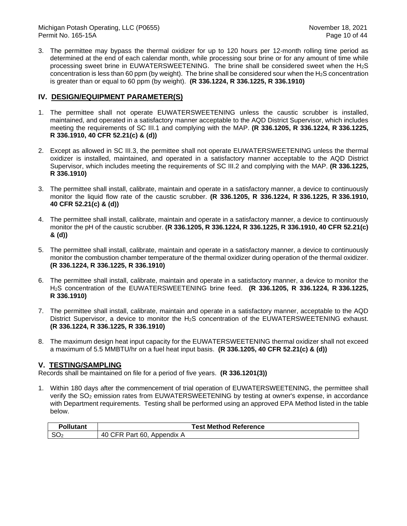Michigan Potash Operating, LLC (P0655)<br>Permit No. 165-15A **November 18, 2021** November 18, 2021 Permit No. 165-15A

3. The permittee may bypass the thermal oxidizer for up to 120 hours per 12-month rolling time period as determined at the end of each calendar month, while processing sour brine or for any amount of time while processing sweet brine in EUWATERSWEETENING. The brine shall be considered sweet when the  $H_2S$ concentration is less than 60 ppm (by weight). The brine shall be considered sour when the H2S concentration is greater than or equal to 60 ppm (by weight). **(R 336.1224, R 336.1225, R 336.1910)**

## **IV. DESIGN/EQUIPMENT PARAMETER(S)**

- 1. The permittee shall not operate EUWATERSWEETENING unless the caustic scrubber is installed, maintained, and operated in a satisfactory manner acceptable to the AQD District Supervisor, which includes meeting the requirements of SC III.1 and complying with the MAP. **(R 336.1205, R 336.1224, R 336.1225, R 336.1910, 40 CFR 52.21(c) & (d))**
- 2. Except as allowed in SC III.3, the permittee shall not operate EUWATERSWEETENING unless the thermal oxidizer is installed, maintained, and operated in a satisfactory manner acceptable to the AQD District Supervisor, which includes meeting the requirements of SC III.2 and complying with the MAP. **(R 336.1225, R 336.1910)**
- 3. The permittee shall install, calibrate, maintain and operate in a satisfactory manner, a device to continuously monitor the liquid flow rate of the caustic scrubber. **(R 336.1205, R 336.1224, R 336.1225, R 336.1910, 40 CFR 52.21(c) & (d))**
- 4. The permittee shall install, calibrate, maintain and operate in a satisfactory manner, a device to continuously monitor the pH of the caustic scrubber. **(R 336.1205, R 336.1224, R 336.1225, R 336.1910, 40 CFR 52.21(c) & (d))**
- 5. The permittee shall install, calibrate, maintain and operate in a satisfactory manner, a device to continuously monitor the combustion chamber temperature of the thermal oxidizer during operation of the thermal oxidizer. **(R 336.1224, R 336.1225, R 336.1910)**
- 6. The permittee shall install, calibrate, maintain and operate in a satisfactory manner, a device to monitor the H2S concentration of the EUWATERSWEETENING brine feed. **(R 336.1205, R 336.1224, R 336.1225, R 336.1910)**
- 7. The permittee shall install, calibrate, maintain and operate in a satisfactory manner, acceptable to the AQD District Supervisor, a device to monitor the H<sub>2</sub>S concentration of the EUWATERSWEETENING exhaust. **(R 336.1224, R 336.1225, R 336.1910)**
- 8. The maximum design heat input capacity for the EUWATERSWEETENING thermal oxidizer shall not exceed a maximum of 5.5 MMBTU/hr on a fuel heat input basis. **(R 336.1205, 40 CFR 52.21(c) & (d))**

#### **V. TESTING/SAMPLING**

Records shall be maintained on file for a period of five years. **(R 336.1201(3))**

1. Within 180 days after the commencement of trial operation of EUWATERSWEETENING, the permittee shall verify the SO<sub>2</sub> emission rates from EUWATERSWEETENING by testing at owner's expense, in accordance with Department requirements. Testing shall be performed using an approved EPA Method listed in the table below.

|                 | Test Method Reference          |  |
|-----------------|--------------------------------|--|
| SO <sub>2</sub> | 40<br>60.<br>Appendix,<br>Part |  |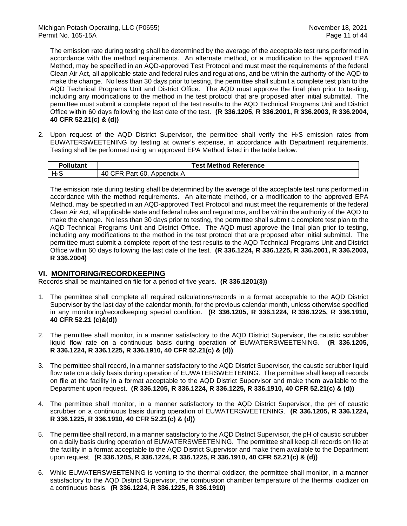The emission rate during testing shall be determined by the average of the acceptable test runs performed in accordance with the method requirements. An alternate method, or a modification to the approved EPA Method, may be specified in an AQD-approved Test Protocol and must meet the requirements of the federal Clean Air Act, all applicable state and federal rules and regulations, and be within the authority of the AQD to make the change. No less than 30 days prior to testing, the permittee shall submit a complete test plan to the AQD Technical Programs Unit and District Office. The AQD must approve the final plan prior to testing, including any modifications to the method in the test protocol that are proposed after initial submittal. The permittee must submit a complete report of the test results to the AQD Technical Programs Unit and District Office within 60 days following the last date of the test. **(R 336.1205, R 336.2001, R 336.2003, R 336.2004, 40 CFR 52.21(c) & (d))** 

2. Upon request of the AQD District Supervisor, the permittee shall verify the H<sub>2</sub>S emission rates from EUWATERSWEETENING by testing at owner's expense, in accordance with Department requirements. Testing shall be performed using an approved EPA Method listed in the table below.

| ollutant         | <b>Test Method Reference</b>           |  |
|------------------|----------------------------------------|--|
| H <sub>2</sub> S | 40<br>-60.<br>`FR<br>Part<br>Appendix, |  |

The emission rate during testing shall be determined by the average of the acceptable test runs performed in accordance with the method requirements. An alternate method, or a modification to the approved EPA Method, may be specified in an AQD-approved Test Protocol and must meet the requirements of the federal Clean Air Act, all applicable state and federal rules and regulations, and be within the authority of the AQD to make the change. No less than 30 days prior to testing, the permittee shall submit a complete test plan to the AQD Technical Programs Unit and District Office. The AQD must approve the final plan prior to testing, including any modifications to the method in the test protocol that are proposed after initial submittal. The permittee must submit a complete report of the test results to the AQD Technical Programs Unit and District Office within 60 days following the last date of the test. **(R 336.1224, R 336.1225, R 336.2001, R 336.2003, R 336.2004)**

#### **VI. MONITORING/RECORDKEEPING**

Records shall be maintained on file for a period of five years. **(R 336.1201(3))**

- 1. The permittee shall complete all required calculations/records in a format acceptable to the AQD District Supervisor by the last day of the calendar month, for the previous calendar month, unless otherwise specified in any monitoring/recordkeeping special condition. **(R 336.1205, R 336.1224, R 336.1225, R 336.1910, 40 CFR 52.21 (c)&(d))**
- 2. The permittee shall monitor, in a manner satisfactory to the AQD District Supervisor, the caustic scrubber liquid flow rate on a continuous basis during operation of EUWATERSWEETENING. **(R 336.1205, R 336.1224, R 336.1225, R 336.1910, 40 CFR 52.21(c) & (d))**
- 3. The permittee shall record, in a manner satisfactory to the AQD District Supervisor, the caustic scrubber liquid flow rate on a daily basis during operation of EUWATERSWEETENING. The permittee shall keep all records on file at the facility in a format acceptable to the AQD District Supervisor and make them available to the Department upon request. **(R 336.1205, R 336.1224, R 336.1225, R 336.1910, 40 CFR 52.21(c) & (d))**
- 4. The permittee shall monitor, in a manner satisfactory to the AQD District Supervisor, the pH of caustic scrubber on a continuous basis during operation of EUWATERSWEETENING. **(R 336.1205, R 336.1224, R 336.1225, R 336.1910, 40 CFR 52.21(c) & (d))**
- 5. The permittee shall record, in a manner satisfactory to the AQD District Supervisor, the pH of caustic scrubber on a daily basis during operation of EUWATERSWEETENING. The permittee shall keep all records on file at the facility in a format acceptable to the AQD District Supervisor and make them available to the Department upon request. **(R 336.1205, R 336.1224, R 336.1225, R 336.1910, 40 CFR 52.21(c) & (d))**
- 6. While EUWATERSWEETENING is venting to the thermal oxidizer, the permittee shall monitor, in a manner satisfactory to the AQD District Supervisor, the combustion chamber temperature of the thermal oxidizer on a continuous basis. **(R 336.1224, R 336.1225, R 336.1910)**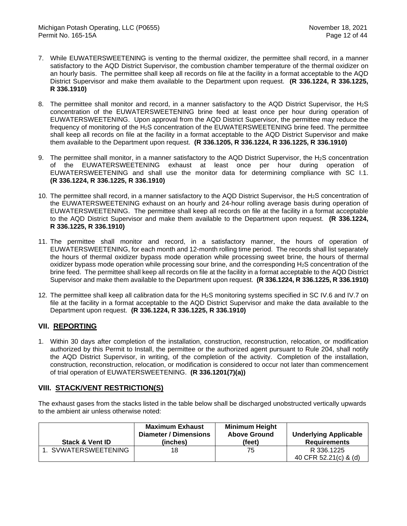- 7. While EUWATERSWEETENING is venting to the thermal oxidizer, the permittee shall record, in a manner satisfactory to the AQD District Supervisor, the combustion chamber temperature of the thermal oxidizer on an hourly basis. The permittee shall keep all records on file at the facility in a format acceptable to the AQD District Supervisor and make them available to the Department upon request. **(R 336.1224, R 336.1225, R 336.1910)**
- 8. The permittee shall monitor and record, in a manner satisfactory to the AQD District Supervisor, the H<sub>2</sub>S concentration of the EUWATERSWEETENING brine feed at least once per hour during operation of EUWATERSWEETENING. Upon approval from the AQD District Supervisor, the permittee may reduce the frequency of monitoring of the H2S concentration of the EUWATERSWEETENING brine feed. The permittee shall keep all records on file at the facility in a format acceptable to the AQD District Supervisor and make them available to the Department upon request. **(R 336.1205, R 336.1224, R 336.1225, R 336.1910)**
- 9. The permittee shall monitor, in a manner satisfactory to the AQD District Supervisor, the H<sub>2</sub>S concentration of the EUWATERSWEETENING exhaust at least once per hour during operation of EUWATERSWEETENING and shall use the monitor data for determining compliance with SC I.1. **(R 336.1224, R 336.1225, R 336.1910)**
- 10. The permittee shall record, in a manner satisfactory to the AQD District Supervisor, the H2S concentration of the EUWATERSWEETENING exhaust on an hourly and 24-hour rolling average basis during operation of EUWATERSWEETENING. The permittee shall keep all records on file at the facility in a format acceptable to the AQD District Supervisor and make them available to the Department upon request. **(R 336.1224, R 336.1225, R 336.1910)**
- 11. The permittee shall monitor and record, in a satisfactory manner, the hours of operation of EUWATERSWEETENING, for each month and 12-month rolling time period. The records shall list separately the hours of thermal oxidizer bypass mode operation while processing sweet brine, the hours of thermal oxidizer bypass mode operation while processing sour brine, and the corresponding  $H_2S$  concentration of the brine feed. The permittee shall keep all records on file at the facility in a format acceptable to the AQD District Supervisor and make them available to the Department upon request. **(R 336.1224, R 336.1225, R 336.1910)**
- 12. The permittee shall keep all calibration data for the  $H_2S$  monitoring systems specified in SC IV.6 and IV.7 on file at the facility in a format acceptable to the AQD District Supervisor and make the data available to the Department upon request. **(R 336.1224, R 336.1225, R 336.1910)**

## **VII. REPORTING**

1. Within 30 days after completion of the installation, construction, reconstruction, relocation, or modification authorized by this Permit to Install, the permittee or the authorized agent pursuant to Rule 204, shall notify the AQD District Supervisor, in writing, of the completion of the activity. Completion of the installation, construction, reconstruction, relocation, or modification is considered to occur not later than commencement of trial operation of EUWATERSWEETENING. **(R 336.1201(7)(a))**

## **VIII. STACK/VENT RESTRICTION(S)**

The exhaust gases from the stacks listed in the table below shall be discharged unobstructed vertically upwards to the ambient air unless otherwise noted:

| <b>Stack &amp; Vent ID</b> | <b>Maximum Exhaust</b><br>Diameter / Dimensions<br>(inches) | <b>Minimum Height</b><br><b>Above Ground</b><br>(feet) | <b>Underlying Applicable</b><br><b>Requirements</b> |
|----------------------------|-------------------------------------------------------------|--------------------------------------------------------|-----------------------------------------------------|
| 1. SVWATERSWEETENING       | 18                                                          | 75                                                     | R 336.1225<br>40 CFR 52.21(c) & (d)                 |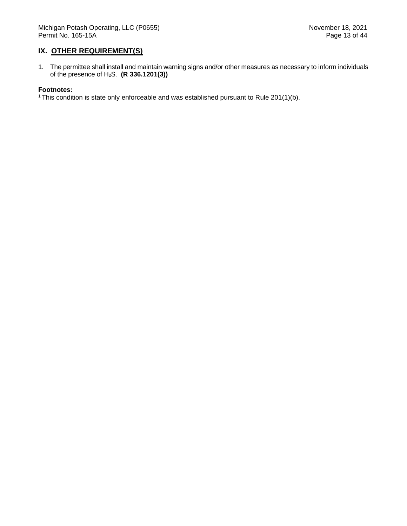### **IX. OTHER REQUIREMENT(S)**

1. The permittee shall install and maintain warning signs and/or other measures as necessary to inform individuals of the presence of H2S. **(R 336.1201(3))**

#### **Footnotes:**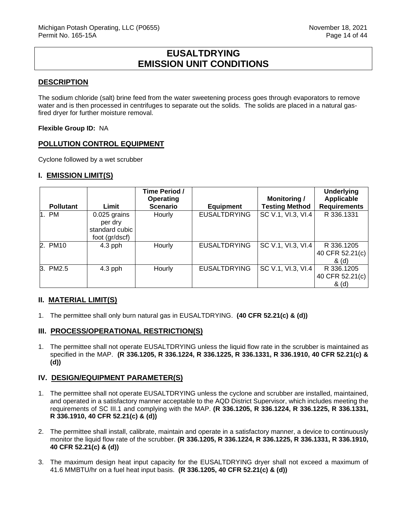## **EUSALTDRYING EMISSION UNIT CONDITIONS**

### <span id="page-14-0"></span>**DESCRIPTION**

The sodium chloride (salt) brine feed from the water sweetening process goes through evaporators to remove water and is then processed in centrifuges to separate out the solids. The solids are placed in a natural gasfired dryer for further moisture removal.

#### **Flexible Group ID:** NA

### **POLLUTION CONTROL EQUIPMENT**

Cyclone followed by a wet scrubber

### **I. EMISSION LIMIT(S)**

|                  |                                                             | Time Period /<br>Operating |                     | <b>Monitoring /</b>   | <b>Underlying</b><br><b>Applicable</b>   |
|------------------|-------------------------------------------------------------|----------------------------|---------------------|-----------------------|------------------------------------------|
| <b>Pollutant</b> | Limit                                                       | <b>Scenario</b>            | <b>Equipment</b>    | <b>Testing Method</b> | <b>Requirements</b>                      |
| 1. PM            | 0.025 grains<br>per dry<br>standard cubic<br>foot (gr/dscf) | Hourly                     | <b>EUSALTDRYING</b> | SC V.1, VI.3, VI.4    | R 336.1331                               |
| 2. PM10          | $4.3$ pph                                                   | Hourly                     | <b>EUSALTDRYING</b> | SC V.1, VI.3, VI.4    | R 336.1205<br>40 CFR 52.21(c)  <br>& (d) |
| 3. PM2.5         | $4.3$ pph                                                   | Hourly                     | <b>EUSALTDRYING</b> | SC V.1, VI.3, VI.4    | R 336.1205<br>40 CFR 52.21(c)<br>& (d)   |

## **II. MATERIAL LIMIT(S)**

1. The permittee shall only burn natural gas in EUSALTDRYING. **(40 CFR 52.21(c) & (d))**

#### **III. PROCESS/OPERATIONAL RESTRICTION(S)**

1. The permittee shall not operate EUSALTDRYING unless the liquid flow rate in the scrubber is maintained as specified in the MAP. **(R 336.1205, R 336.1224, R 336.1225, R 336.1331, R 336.1910, 40 CFR 52.21(c) & (d))**

#### **IV. DESIGN/EQUIPMENT PARAMETER(S)**

- 1. The permittee shall not operate EUSALTDRYING unless the cyclone and scrubber are installed, maintained, and operated in a satisfactory manner acceptable to the AQD District Supervisor, which includes meeting the requirements of SC III.1 and complying with the MAP. **(R 336.1205, R 336.1224, R 336.1225, R 336.1331, R 336.1910, 40 CFR 52.21(c) & (d))**
- 2. The permittee shall install, calibrate, maintain and operate in a satisfactory manner, a device to continuously monitor the liquid flow rate of the scrubber. **(R 336.1205, R 336.1224, R 336.1225, R 336.1331, R 336.1910, 40 CFR 52.21(c) & (d))**
- 3. The maximum design heat input capacity for the EUSALTDRYING dryer shall not exceed a maximum of 41.6 MMBTU/hr on a fuel heat input basis. **(R 336.1205, 40 CFR 52.21(c) & (d))**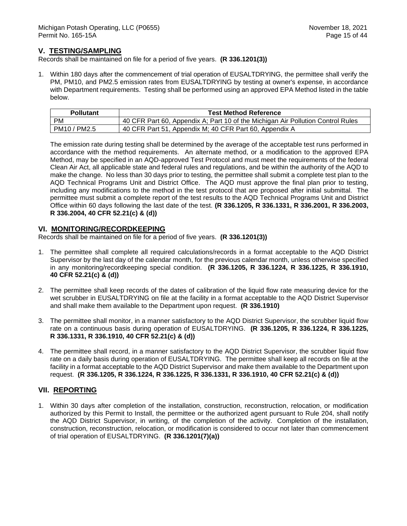### **V. TESTING/SAMPLING**

Records shall be maintained on file for a period of five years. **(R 336.1201(3))**

1. Within 180 days after the commencement of trial operation of EUSALTDRYING, the permittee shall verify the PM, PM10, and PM2.5 emission rates from EUSALTDRYING by testing at owner's expense, in accordance with Department requirements. Testing shall be performed using an approved EPA Method listed in the table below.

| <b>Pollutant</b> | <b>Test Method Reference</b>                                                    |
|------------------|---------------------------------------------------------------------------------|
| PM               | 40 CFR Part 60, Appendix A; Part 10 of the Michigan Air Pollution Control Rules |
| PM10 / PM2.5     | 40 CFR Part 51, Appendix M; 40 CFR Part 60, Appendix A                          |

The emission rate during testing shall be determined by the average of the acceptable test runs performed in accordance with the method requirements. An alternate method, or a modification to the approved EPA Method, may be specified in an AQD-approved Test Protocol and must meet the requirements of the federal Clean Air Act, all applicable state and federal rules and regulations, and be within the authority of the AQD to make the change. No less than 30 days prior to testing, the permittee shall submit a complete test plan to the AQD Technical Programs Unit and District Office. The AQD must approve the final plan prior to testing, including any modifications to the method in the test protocol that are proposed after initial submittal. The permittee must submit a complete report of the test results to the AQD Technical Programs Unit and District Office within 60 days following the last date of the test. **(R 336.1205, R 336.1331, R 336.2001, R 336.2003, R 336.2004, 40 CFR 52.21(c) & (d))** 

#### **VI. MONITORING/RECORDKEEPING**

Records shall be maintained on file for a period of five years. **(R 336.1201(3))**

- 1. The permittee shall complete all required calculations/records in a format acceptable to the AQD District Supervisor by the last day of the calendar month, for the previous calendar month, unless otherwise specified in any monitoring/recordkeeping special condition. **(R 336.1205, R 336.1224, R 336.1225, R 336.1910, 40 CFR 52.21(c) & (d))**
- 2. The permittee shall keep records of the dates of calibration of the liquid flow rate measuring device for the wet scrubber in EUSALTDRYING on file at the facility in a format acceptable to the AQD District Supervisor and shall make them available to the Department upon request. **(R 336.1910)**
- 3. The permittee shall monitor, in a manner satisfactory to the AQD District Supervisor, the scrubber liquid flow rate on a continuous basis during operation of EUSALTDRYING. **(R 336.1205, R 336.1224, R 336.1225, R 336.1331, R 336.1910, 40 CFR 52.21(c) & (d))**
- 4. The permittee shall record, in a manner satisfactory to the AQD District Supervisor, the scrubber liquid flow rate on a daily basis during operation of EUSALTDRYING. The permittee shall keep all records on file at the facility in a format acceptable to the AQD District Supervisor and make them available to the Department upon request. **(R 336.1205, R 336.1224, R 336.1225, R 336.1331, R 336.1910, 40 CFR 52.21(c) & (d))**

#### **VII. REPORTING**

1. Within 30 days after completion of the installation, construction, reconstruction, relocation, or modification authorized by this Permit to Install, the permittee or the authorized agent pursuant to Rule 204, shall notify the AQD District Supervisor, in writing, of the completion of the activity. Completion of the installation, construction, reconstruction, relocation, or modification is considered to occur not later than commencement of trial operation of EUSALTDRYING. **(R 336.1201(7)(a))**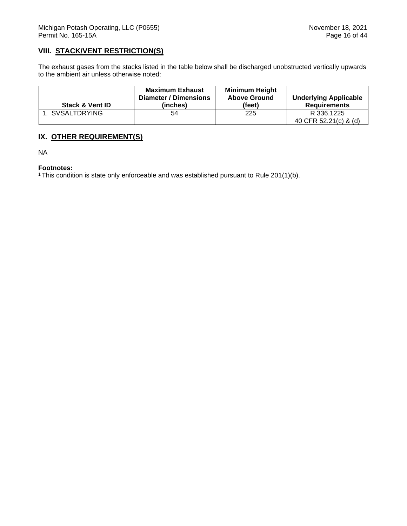## **VIII. STACK/VENT RESTRICTION(S)**

The exhaust gases from the stacks listed in the table below shall be discharged unobstructed vertically upwards to the ambient air unless otherwise noted:

| <b>Stack &amp; Vent ID</b> | <b>Maximum Exhaust</b><br>Diameter / Dimensions<br>(inches) | <b>Minimum Height</b><br><b>Above Ground</b><br>(feet) | <b>Underlying Applicable</b><br><b>Requirements</b> |
|----------------------------|-------------------------------------------------------------|--------------------------------------------------------|-----------------------------------------------------|
| 1. SVSALTDRYING            | 54                                                          | 225                                                    | R 336.1225<br>40 CFR 52.21(c) & (d)                 |

## **IX. OTHER REQUIREMENT(S)**

NA

#### **Footnotes:**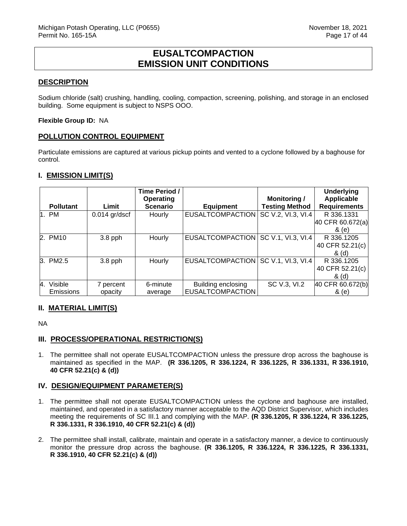## **EUSALTCOMPACTION EMISSION UNIT CONDITIONS**

#### <span id="page-17-0"></span>**DESCRIPTION**

Sodium chloride (salt) crushing, handling, cooling, compaction, screening, polishing, and storage in an enclosed building. Some equipment is subject to NSPS OOO.

#### **Flexible Group ID:** NA

### **POLLUTION CONTROL EQUIPMENT**

Particulate emissions are captured at various pickup points and vented to a cyclone followed by a baghouse for control.

### **I. EMISSION LIMIT(S)**

|                  |                 | Time Period /                |                         |                                              | <b>Underlying</b>                 |
|------------------|-----------------|------------------------------|-------------------------|----------------------------------------------|-----------------------------------|
| <b>Pollutant</b> | Limit           | Operating<br><b>Scenario</b> | <b>Equipment</b>        | <b>Monitoring /</b><br><b>Testing Method</b> | Applicable<br><b>Requirements</b> |
|                  |                 |                              |                         |                                              |                                   |
| 1. PM            | $0.014$ gr/dscf | Hourly                       | <b>EUSALTCOMPACTION</b> | SC V.2, VI.3, VI.4                           | R 336.1331                        |
|                  |                 |                              |                         |                                              | 40 CFR 60.672(a)                  |
|                  |                 |                              |                         |                                              | & (e)                             |
| 2. PM10          | $3.8$ pph       | Hourly                       | <b>EUSALTCOMPACTION</b> | SC V.1, VI.3, VI.4                           | R 336.1205                        |
|                  |                 |                              |                         |                                              | 40 CFR 52.21(c)                   |
|                  |                 |                              |                         |                                              | & (d)                             |
| 3. PM2.5         | $3.8$ pph       | Hourly                       | <b>EUSALTCOMPACTION</b> | SC V.1, VI.3, VI.4                           | R 336.1205                        |
|                  |                 |                              |                         |                                              | 40 CFR 52.21(c)                   |
|                  |                 |                              |                         |                                              | & (d)                             |
| 4. Visible       | 7 percent       | 6-minute                     | Building enclosing      | SC V.3, VI.2                                 | 40 CFR 60.672(b)                  |
| Emissions        | opacity         | average                      | <b>EUSALTCOMPACTION</b> |                                              | & (e)                             |

#### **II. MATERIAL LIMIT(S)**

NA

#### **III. PROCESS/OPERATIONAL RESTRICTION(S)**

1. The permittee shall not operate EUSALTCOMPACTION unless the pressure drop across the baghouse is maintained as specified in the MAP. **(R 336.1205, R 336.1224, R 336.1225, R 336.1331, R 336.1910, 40 CFR 52.21(c) & (d))**

#### **IV. DESIGN/EQUIPMENT PARAMETER(S)**

- 1. The permittee shall not operate EUSALTCOMPACTION unless the cyclone and baghouse are installed, maintained, and operated in a satisfactory manner acceptable to the AQD District Supervisor, which includes meeting the requirements of SC III.1 and complying with the MAP. **(R 336.1205, R 336.1224, R 336.1225, R 336.1331, R 336.1910, 40 CFR 52.21(c) & (d))**
- 2. The permittee shall install, calibrate, maintain and operate in a satisfactory manner, a device to continuously monitor the pressure drop across the baghouse. **(R 336.1205, R 336.1224, R 336.1225, R 336.1331, R 336.1910, 40 CFR 52.21(c) & (d))**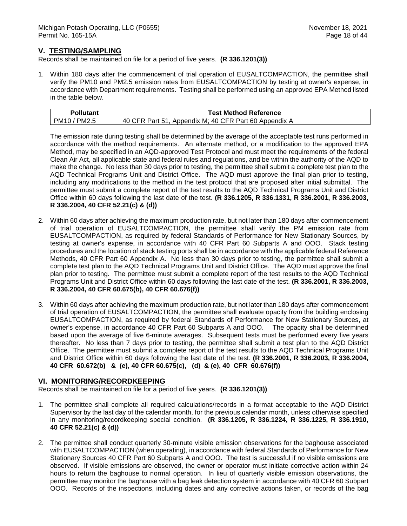### **V. TESTING/SAMPLING**

Records shall be maintained on file for a period of five years. **(R 336.1201(3))**

1. Within 180 days after the commencement of trial operation of EUSALTCOMPACTION, the permittee shall verify the PM10 and PM2.5 emission rates from EUSALTCOMPACTION by testing at owner's expense, in accordance with Department requirements. Testing shall be performed using an approved EPA Method listed in the table below.

| <b>Pollutant</b> | <b>Test Method Reference</b>                          |
|------------------|-------------------------------------------------------|
| PM10 / PM2.5     | 40 CFR Part 51, Appendix M; 40 CFR Part 60 Appendix A |

The emission rate during testing shall be determined by the average of the acceptable test runs performed in accordance with the method requirements. An alternate method, or a modification to the approved EPA Method, may be specified in an AQD-approved Test Protocol and must meet the requirements of the federal Clean Air Act, all applicable state and federal rules and regulations, and be within the authority of the AQD to make the change. No less than 30 days prior to testing, the permittee shall submit a complete test plan to the AQD Technical Programs Unit and District Office. The AQD must approve the final plan prior to testing, including any modifications to the method in the test protocol that are proposed after initial submittal. The permittee must submit a complete report of the test results to the AQD Technical Programs Unit and District Office within 60 days following the last date of the test. **(R 336.1205, R 336.1331, R 336.2001, R 336.2003, R 336.2004, 40 CFR 52.21(c) & (d))** 

- 2. Within 60 days after achieving the maximum production rate, but not later than 180 days after commencement of trial operation of EUSALTCOMPACTION, the permittee shall verify the PM emission rate from EUSALTCOMPACTION, as required by federal Standards of Performance for New Stationary Sources, by testing at owner's expense, in accordance with 40 CFR Part 60 Subparts A and OOO. Stack testing procedures and the location of stack testing ports shall be in accordance with the applicable federal Reference Methods, 40 CFR Part 60 Appendix A. No less than 30 days prior to testing, the permittee shall submit a complete test plan to the AQD Technical Programs Unit and District Office. The AQD must approve the final plan prior to testing. The permittee must submit a complete report of the test results to the AQD Technical Programs Unit and District Office within 60 days following the last date of the test. **(R 336.2001, R 336.2003, R 336.2004, 40 CFR 60.675(b), 40 CFR 60.676(f))**
- 3. Within 60 days after achieving the maximum production rate, but not later than 180 days after commencement of trial operation of EUSALTCOMPACTION, the permittee shall evaluate opacity from the building enclosing EUSALTCOMPACTION, as required by federal Standards of Performance for New Stationary Sources, at owner's expense, in accordance 40 CFR Part 60 Subparts A and OOO. The opacity shall be determined based upon the average of five 6-minute averages. Subsequent tests must be performed every five years thereafter. No less than 7 days prior to testing, the permittee shall submit a test plan to the AQD District Office. The permittee must submit a complete report of the test results to the AQD Technical Programs Unit and District Office within 60 days following the last date of the test. **(R 336.2001, R 336.2003, R 336.2004, 40 CFR 60.672(b) & (e), 40 CFR 60.675(c), (d) & (e), 40 CFR 60.676(f))**

#### **VI. MONITORING/RECORDKEEPING**

Records shall be maintained on file for a period of five years. **(R 336.1201(3))**

- 1. The permittee shall complete all required calculations/records in a format acceptable to the AQD District Supervisor by the last day of the calendar month, for the previous calendar month, unless otherwise specified in any monitoring/recordkeeping special condition. **(R 336.1205, R 336.1224, R 336.1225, R 336.1910, 40 CFR 52.21(c) & (d))**
- 2. The permittee shall conduct quarterly 30-minute visible emission observations for the baghouse associated with EUSALTCOMPACTION (when operating), in accordance with federal Standards of Performance for New Stationary Sources 40 CFR Part 60 Subparts A and OOO. The test is successful if no visible emissions are observed. If visible emissions are observed, the owner or operator must initiate corrective action within 24 hours to return the baghouse to normal operation. In lieu of quarterly visible emission observations, the permittee may monitor the baghouse with a bag leak detection system in accordance with 40 CFR 60 Subpart OOO. Records of the inspections, including dates and any corrective actions taken, or records of the bag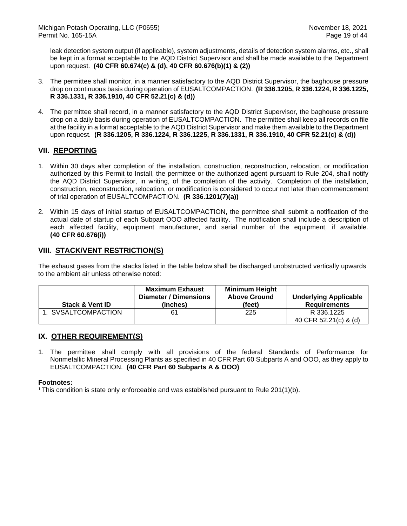leak detection system output (if applicable), system adjustments, details of detection system alarms, etc., shall be kept in a format acceptable to the AQD District Supervisor and shall be made available to the Department upon request. **(40 CFR 60.674(c) & (d), 40 CFR 60.676(b)(1) & (2))**

- 3. The permittee shall monitor, in a manner satisfactory to the AQD District Supervisor, the baghouse pressure drop on continuous basis during operation of EUSALTCOMPACTION. **(R 336.1205, R 336.1224, R 336.1225, R 336.1331, R 336.1910, 40 CFR 52.21(c) & (d))**
- 4. The permittee shall record, in a manner satisfactory to the AQD District Supervisor, the baghouse pressure drop on a daily basis during operation of EUSALTCOMPACTION. The permittee shall keep all records on file at the facility in a format acceptable to the AQD District Supervisor and make them available to the Department upon request. **(R 336.1205, R 336.1224, R 336.1225, R 336.1331, R 336.1910, 40 CFR 52.21(c) & (d))**

## **VII. REPORTING**

- 1. Within 30 days after completion of the installation, construction, reconstruction, relocation, or modification authorized by this Permit to Install, the permittee or the authorized agent pursuant to Rule 204, shall notify the AQD District Supervisor, in writing, of the completion of the activity. Completion of the installation, construction, reconstruction, relocation, or modification is considered to occur not later than commencement of trial operation of EUSALTCOMPACTION. **(R 336.1201(7)(a))**
- 2. Within 15 days of initial startup of EUSALTCOMPACTION, the permittee shall submit a notification of the actual date of startup of each Subpart OOO affected facility. The notification shall include a description of each affected facility, equipment manufacturer, and serial number of the equipment, if available. **(40 CFR 60.676(i))**

## **VIII. STACK/VENT RESTRICTION(S)**

The exhaust gases from the stacks listed in the table below shall be discharged unobstructed vertically upwards to the ambient air unless otherwise noted:

| <b>Stack &amp; Vent ID</b> | <b>Maximum Exhaust</b><br>Diameter / Dimensions<br>(inches) | <b>Minimum Height</b><br><b>Above Ground</b><br>(feet) | <b>Underlying Applicable</b><br><b>Requirements</b> |
|----------------------------|-------------------------------------------------------------|--------------------------------------------------------|-----------------------------------------------------|
| . SVSALTCOMPACTION         | 61                                                          | 225                                                    | R 336.1225<br>40 CFR 52.21(c) & (d)                 |

## **IX. OTHER REQUIREMENT(S)**

1. The permittee shall comply with all provisions of the federal Standards of Performance for Nonmetallic Mineral Processing Plants as specified in 40 CFR Part 60 Subparts A and OOO, as they apply to EUSALTCOMPACTION. **(40 CFR Part 60 Subparts A & OOO)**

#### **Footnotes:**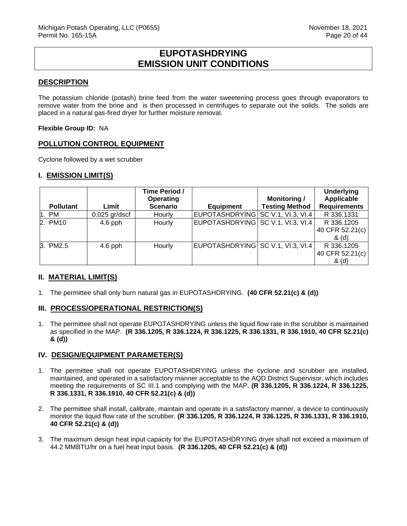## **EUPOTASHDRYING EMISSION UNIT CONDITIONS**

#### <span id="page-20-0"></span>**DESCRIPTION**

The potassium chloride (potash) brine feed from the water sweetening process goes through evaporators to remove water from the brine and is then processed in centrifuges to separate out the solids. The solids are placed in a natural gas-fired dryer for further moisture removal.

#### **Flexible Group ID:** NA

### **POLLUTION CONTROL EQUIPMENT**

Cyclone followed by a wet scrubber

#### **I. EMISSION LIMIT(S)**

|                  |                 | Time Period /<br>Operating |                                   | <b>Monitoring /</b>   | <b>Underlying</b><br>Applicable |
|------------------|-----------------|----------------------------|-----------------------------------|-----------------------|---------------------------------|
| <b>Pollutant</b> | Limit           | <b>Scenario</b>            | <b>Equipment</b>                  | <b>Testing Method</b> | <b>Requirements</b>             |
| 1. PM            | $0.025$ gr/dscf | Hourly                     | EUPOTASHDRYING SC V.1, VI.3, VI.4 |                       | R 336.1331                      |
| 2. PM10          | $4.6$ pph       | Hourly                     | EUPOTASHDRYING SC V.1, VI.3, VI.4 |                       | R 336.1205                      |
|                  |                 |                            |                                   |                       | 40 CFR 52.21(c)                 |
|                  |                 |                            |                                   |                       | & (d)                           |
| 3. PM2.5         | $4.6$ pph       | Hourly                     | EUPOTASHDRYING SC V.1, VI.3, VI.4 |                       | R 336.1205                      |
|                  |                 |                            |                                   |                       | 40 CFR 52.21(c)                 |
|                  |                 |                            |                                   |                       | & (d)                           |

## **II. MATERIAL LIMIT(S)**

1. The permittee shall only burn natural gas in EUPOTASHDRYING. **(40 CFR 52.21(c) & (d))**

## **III. PROCESS/OPERATIONAL RESTRICTION(S)**

1. The permittee shall not operate EUPOTASHDRYING unless the liquid flow rate in the scrubber is maintained as specified in the MAP. **(R 336.1205, R 336.1224, R 336.1225, R 336.1331, R 336.1910, 40 CFR 52.21(c) & (d))**

#### **IV. DESIGN/EQUIPMENT PARAMETER(S)**

- 1. The permittee shall not operate EUPOTASHDRYING unless the cyclone and scrubber are installed, maintained, and operated in a satisfactory manner acceptable to the AQD District Supervisor, which includes meeting the requirements of SC III.1 and complying with the MAP. **(R 336.1205, R 336.1224, R 336.1225, R 336.1331, R 336.1910, 40 CFR 52.21(c) & (d))**
- 2. The permittee shall install, calibrate, maintain and operate in a satisfactory manner, a device to continuously monitor the liquid flow rate of the scrubber. **(R 336.1205, R 336.1224, R 336.1225, R 336.1331, R 336.1910, 40 CFR 52.21(c) & (d))**
- 3. The maximum design heat input capacity for the EUPOTASHDRYING dryer shall not exceed a maximum of 44.2 MMBTU/hr on a fuel heat input basis. **(R 336.1205, 40 CFR 52.21(c) & (d))**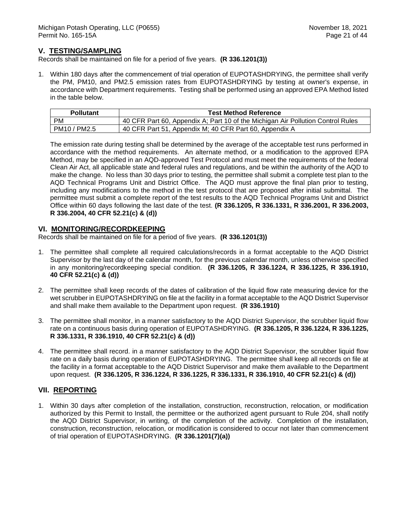### **V. TESTING/SAMPLING**

Records shall be maintained on file for a period of five years. **(R 336.1201(3))**

1. Within 180 days after the commencement of trial operation of EUPOTASHDRYING, the permittee shall verify the PM, PM10, and PM2.5 emission rates from EUPOTASHDRYING by testing at owner's expense, in accordance with Department requirements. Testing shall be performed using an approved EPA Method listed in the table below.

| <b>Pollutant</b> | <b>Test Method Reference</b>                                                    |
|------------------|---------------------------------------------------------------------------------|
| PM               | 40 CFR Part 60, Appendix A; Part 10 of the Michigan Air Pollution Control Rules |
| PM10 / PM2.5     | 40 CFR Part 51, Appendix M; 40 CFR Part 60, Appendix A                          |

The emission rate during testing shall be determined by the average of the acceptable test runs performed in accordance with the method requirements. An alternate method, or a modification to the approved EPA Method, may be specified in an AQD-approved Test Protocol and must meet the requirements of the federal Clean Air Act, all applicable state and federal rules and regulations, and be within the authority of the AQD to make the change. No less than 30 days prior to testing, the permittee shall submit a complete test plan to the AQD Technical Programs Unit and District Office. The AQD must approve the final plan prior to testing, including any modifications to the method in the test protocol that are proposed after initial submittal. The permittee must submit a complete report of the test results to the AQD Technical Programs Unit and District Office within 60 days following the last date of the test. **(R 336.1205, R 336.1331, R 336.2001, R 336.2003, R 336.2004, 40 CFR 52.21(c) & (d))** 

#### **VI. MONITORING/RECORDKEEPING**

Records shall be maintained on file for a period of five years. **(R 336.1201(3))**

- 1. The permittee shall complete all required calculations/records in a format acceptable to the AQD District Supervisor by the last day of the calendar month, for the previous calendar month, unless otherwise specified in any monitoring/recordkeeping special condition. **(R 336.1205, R 336.1224, R 336.1225, R 336.1910, 40 CFR 52.21(c) & (d))**
- 2. The permittee shall keep records of the dates of calibration of the liquid flow rate measuring device for the wet scrubber in EUPOTASHDRYING on file at the facility in a format acceptable to the AQD District Supervisor and shall make them available to the Department upon request. **(R 336.1910)**
- 3. The permittee shall monitor, in a manner satisfactory to the AQD District Supervisor, the scrubber liquid flow rate on a continuous basis during operation of EUPOTASHDRYING. **(R 336.1205, R 336.1224, R 336.1225, R 336.1331, R 336.1910, 40 CFR 52.21(c) & (d))**
- 4. The permittee shall record. in a manner satisfactory to the AQD District Supervisor, the scrubber liquid flow rate on a daily basis during operation of EUPOTASHDRYING. The permittee shall keep all records on file at the facility in a format acceptable to the AQD District Supervisor and make them available to the Department upon request. **(R 336.1205, R 336.1224, R 336.1225, R 336.1331, R 336.1910, 40 CFR 52.21(c) & (d))**

#### **VII. REPORTING**

1. Within 30 days after completion of the installation, construction, reconstruction, relocation, or modification authorized by this Permit to Install, the permittee or the authorized agent pursuant to Rule 204, shall notify the AQD District Supervisor, in writing, of the completion of the activity. Completion of the installation, construction, reconstruction, relocation, or modification is considered to occur not later than commencement of trial operation of EUPOTASHDRYING. **(R 336.1201(7)(a))**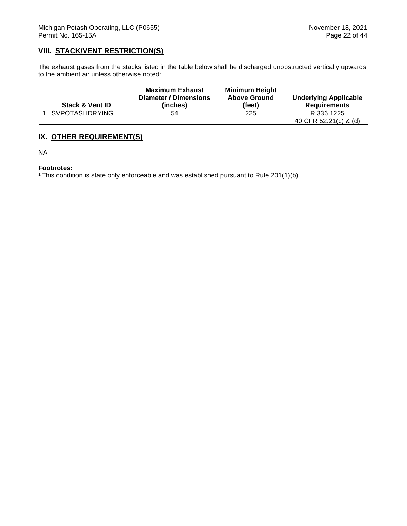## **VIII. STACK/VENT RESTRICTION(S)**

The exhaust gases from the stacks listed in the table below shall be discharged unobstructed vertically upwards to the ambient air unless otherwise noted:

| <b>Stack &amp; Vent ID</b> | <b>Maximum Exhaust</b><br>Diameter / Dimensions<br>(inches) | <b>Minimum Height</b><br><b>Above Ground</b><br>(feet) | <b>Underlying Applicable</b><br><b>Requirements</b> |
|----------------------------|-------------------------------------------------------------|--------------------------------------------------------|-----------------------------------------------------|
| 1. SVPOTASHDRYING          | 54                                                          | 225                                                    | R 336.1225<br>40 CFR 52.21(c) & (d)                 |

## **IX. OTHER REQUIREMENT(S)**

NA

#### **Footnotes:**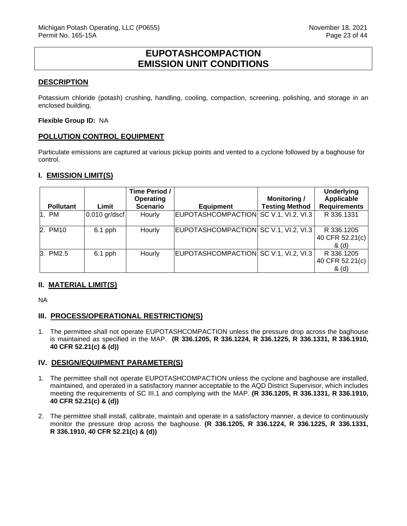## **EUPOTASHCOMPACTION EMISSION UNIT CONDITIONS**

### <span id="page-23-0"></span>**DESCRIPTION**

Potassium chloride (potash) crushing, handling, cooling, compaction, screening, polishing, and storage in an enclosed building.

**Flexible Group ID:** NA

### **POLLUTION CONTROL EQUIPMENT**

Particulate emissions are captured at various pickup points and vented to a cyclone followed by a baghouse for control.

### **I. EMISSION LIMIT(S)**

|                  |                 | Time Period /   |                                       |                       | <b>Underlying</b>                      |
|------------------|-----------------|-----------------|---------------------------------------|-----------------------|----------------------------------------|
|                  |                 | Operating       |                                       | <b>Monitoring /</b>   | <b>Applicable</b>                      |
| <b>Pollutant</b> | Limit           | <b>Scenario</b> | <b>Equipment</b>                      | <b>Testing Method</b> | <b>Requirements</b>                    |
| 1. PM            | $0.010$ gr/dscf | Hourly          | EUPOTASHCOMPACTION SC V.1, VI.2, VI.3 |                       | R 336.1331                             |
| 2. PM10          | $6.1$ pph       | Hourly          | EUPOTASHCOMPACTION SC V.1, VI.2, VI.3 |                       | R 336.1205<br>40 CFR 52.21(c)<br>& (d) |
| 3. PM2.5         | $6.1$ pph       | Hourly          | EUPOTASHCOMPACTION SC V.1, VI.2, VI.3 |                       | R 336.1205<br>40 CFR 52.21(c)<br>& (d) |

## **II. MATERIAL LIMIT(S)**

NA

## **III. PROCESS/OPERATIONAL RESTRICTION(S)**

1. The permittee shall not operate EUPOTASHCOMPACTION unless the pressure drop across the baghouse is maintained as specified in the MAP. **(R 336.1205, R 336.1224, R 336.1225, R 336.1331, R 336.1910, 40 CFR 52.21(c) & (d))**

#### **IV. DESIGN/EQUIPMENT PARAMETER(S)**

- 1. The permittee shall not operate EUPOTASHCOMPACTION unless the cyclone and baghouse are installed, maintained, and operated in a satisfactory manner acceptable to the AQD District Supervisor, which includes meeting the requirements of SC III.1 and complying with the MAP. **(R 336.1205, R 336.1331, R 336.1910, 40 CFR 52.21(c) & (d))**
- 2. The permittee shall install, calibrate, maintain and operate in a satisfactory manner, a device to continuously monitor the pressure drop across the baghouse. **(R 336.1205, R 336.1224, R 336.1225, R 336.1331, R 336.1910, 40 CFR 52.21(c) & (d))**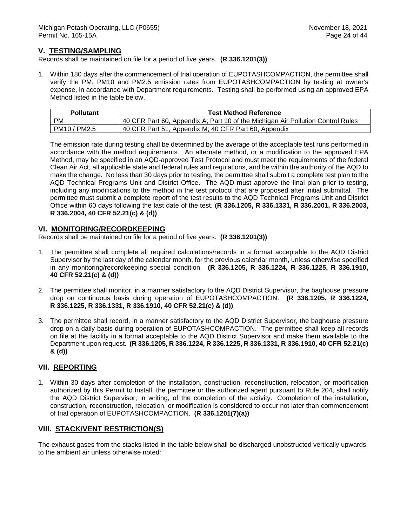### **V. TESTING/SAMPLING**

Records shall be maintained on file for a period of five years. **(R 336.1201(3))**

1. Within 180 days after the commencement of trial operation of EUPOTASHCOMPACTION, the permittee shall verify the PM, PM10 and PM2.5 emission rates from EUPOTASHCOMPACTION by testing at owner's expense, in accordance with Department requirements. Testing shall be performed using an approved EPA Method listed in the table below.

| <b>Pollutant</b> | <b>Test Method Reference</b>                                                    |
|------------------|---------------------------------------------------------------------------------|
| PM               | 40 CFR Part 60, Appendix A; Part 10 of the Michigan Air Pollution Control Rules |
| PM10 / PM2.5     | 40 CFR Part 51, Appendix M; 40 CFR Part 60, Appendix                            |

The emission rate during testing shall be determined by the average of the acceptable test runs performed in accordance with the method requirements. An alternate method, or a modification to the approved EPA Method, may be specified in an AQD-approved Test Protocol and must meet the requirements of the federal Clean Air Act, all applicable state and federal rules and regulations, and be within the authority of the AQD to make the change. No less than 30 days prior to testing, the permittee shall submit a complete test plan to the AQD Technical Programs Unit and District Office. The AQD must approve the final plan prior to testing, including any modifications to the method in the test protocol that are proposed after initial submittal. The permittee must submit a complete report of the test results to the AQD Technical Programs Unit and District Office within 60 days following the last date of the test. **(R 336.1205, R 336.1331, R 336.2001, R 336.2003, R 336.2004, 40 CFR 52.21(c) & (d))** 

#### **VI. MONITORING/RECORDKEEPING**

Records shall be maintained on file for a period of five years. **(R 336.1201(3))**

- 1. The permittee shall complete all required calculations/records in a format acceptable to the AQD District Supervisor by the last day of the calendar month, for the previous calendar month, unless otherwise specified in any monitoring/recordkeeping special condition. **(R 336.1205, R 336.1224, R 336.1225, R 336.1910, 40 CFR 52.21(c) & (d))**
- 2. The permittee shall monitor, in a manner satisfactory to the AQD District Supervisor, the baghouse pressure drop on continuous basis during operation of EUPOTASHCOMPACTION. **(R 336.1205, R 336.1224, R 336.1225, R 336.1331, R 336.1910, 40 CFR 52.21(c) & (d))**
- 3. The permittee shall record, in a manner satisfactory to the AQD District Supervisor, the baghouse pressure drop on a daily basis during operation of EUPOTASHCOMPACTION. The permittee shall keep all records on file at the facility in a format acceptable to the AQD District Supervisor and make them available to the Department upon request. **(R 336.1205, R 336.1224, R 336.1225, R 336.1331, R 336.1910, 40 CFR 52.21(c) & (d))**

## **VII. REPORTING**

1. Within 30 days after completion of the installation, construction, reconstruction, relocation, or modification authorized by this Permit to Install, the permittee or the authorized agent pursuant to Rule 204, shall notify the AQD District Supervisor, in writing, of the completion of the activity. Completion of the installation, construction, reconstruction, relocation, or modification is considered to occur not later than commencement of trial operation of EUPOTASHCOMPACTION. **(R 336.1201(7)(a))**

#### **VIII. STACK/VENT RESTRICTION(S)**

The exhaust gases from the stacks listed in the table below shall be discharged unobstructed vertically upwards to the ambient air unless otherwise noted: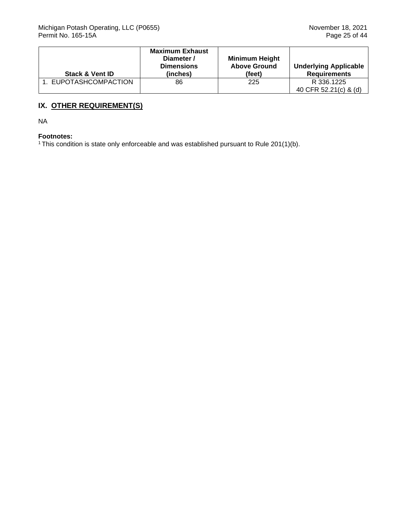|                            | <b>Maximum Exhaust</b><br>Diameter /<br><b>Dimensions</b> | <b>Minimum Height</b><br><b>Above Ground</b> | <b>Underlying Applicable</b> |
|----------------------------|-----------------------------------------------------------|----------------------------------------------|------------------------------|
| <b>Stack &amp; Vent ID</b> | (inches)                                                  | (feet)                                       | <b>Requirements</b>          |
| 1. EUPOTASHCOMPACTION      | 86                                                        | 225                                          | R 336.1225                   |
|                            |                                                           |                                              | 40 CFR 52.21(c) & (d)        |

## **IX. OTHER REQUIREMENT(S)**

NA

### **Footnotes:**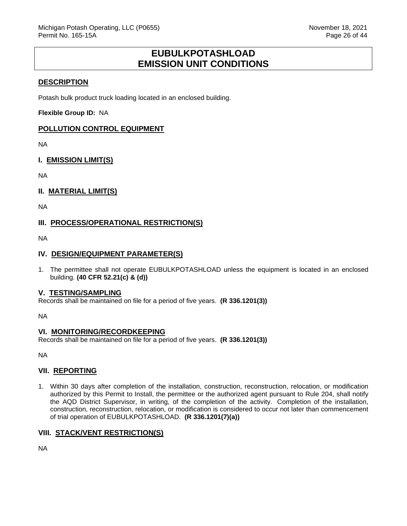## **EUBULKPOTASHLOAD EMISSION UNIT CONDITIONS**

### <span id="page-26-0"></span>**DESCRIPTION**

Potash bulk product truck loading located in an enclosed building.

**Flexible Group ID:** NA

#### **POLLUTION CONTROL EQUIPMENT**

NA

### **I. EMISSION LIMIT(S)**

NA

### **II. MATERIAL LIMIT(S)**

NA

## **III. PROCESS/OPERATIONAL RESTRICTION(S)**

NA

#### **IV. DESIGN/EQUIPMENT PARAMETER(S)**

1. The permittee shall not operate EUBULKPOTASHLOAD unless the equipment is located in an enclosed building. **(40 CFR 52.21(c) & (d))**

#### **V. TESTING/SAMPLING**

Records shall be maintained on file for a period of five years. **(R 336.1201(3))**

NA

#### **VI. MONITORING/RECORDKEEPING**

Records shall be maintained on file for a period of five years. **(R 336.1201(3))**

NA

#### **VII. REPORTING**

1. Within 30 days after completion of the installation, construction, reconstruction, relocation, or modification authorized by this Permit to Install, the permittee or the authorized agent pursuant to Rule 204, shall notify the AQD District Supervisor, in writing, of the completion of the activity. Completion of the installation, construction, reconstruction, relocation, or modification is considered to occur not later than commencement of trial operation of EUBULKPOTASHLOAD. **(R 336.1201(7)(a))**

#### **VIII. STACK/VENT RESTRICTION(S)**

NA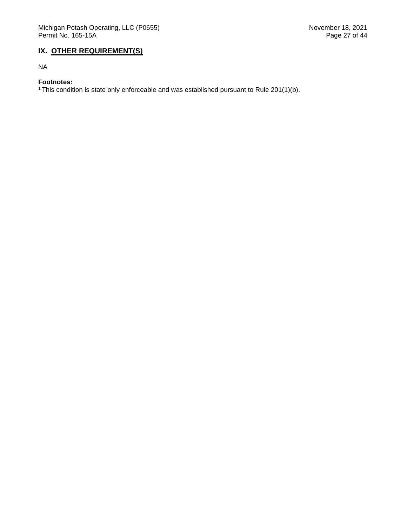## **IX. OTHER REQUIREMENT(S)**

NA

## **Footnotes:**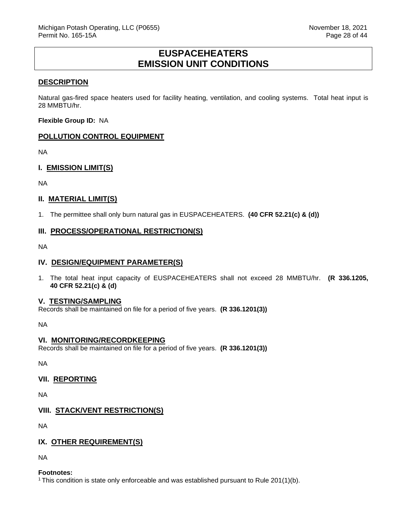## **EUSPACEHEATERS EMISSION UNIT CONDITIONS**

#### <span id="page-28-0"></span>**DESCRIPTION**

Natural gas-fired space heaters used for facility heating, ventilation, and cooling systems. Total heat input is 28 MMBTU/hr.

**Flexible Group ID:** NA

#### **POLLUTION CONTROL EQUIPMENT**

NA

### **I. EMISSION LIMIT(S)**

NA

#### **II. MATERIAL LIMIT(S)**

1. The permittee shall only burn natural gas in EUSPACEHEATERS. **(40 CFR 52.21(c) & (d))**

#### **III. PROCESS/OPERATIONAL RESTRICTION(S)**

NA

#### **IV. DESIGN/EQUIPMENT PARAMETER(S)**

1. The total heat input capacity of EUSPACEHEATERS shall not exceed 28 MMBTU/hr. **(R 336.1205, 40 CFR 52.21(c) & (d)**

#### **V. TESTING/SAMPLING**

Records shall be maintained on file for a period of five years. **(R 336.1201(3))**

NA

#### **VI. MONITORING/RECORDKEEPING**

Records shall be maintained on file for a period of five years. **(R 336.1201(3))**

NA

#### **VII. REPORTING**

NA

## **VIII. STACK/VENT RESTRICTION(S)**

NA

#### **IX. OTHER REQUIREMENT(S)**

NA

#### **Footnotes:**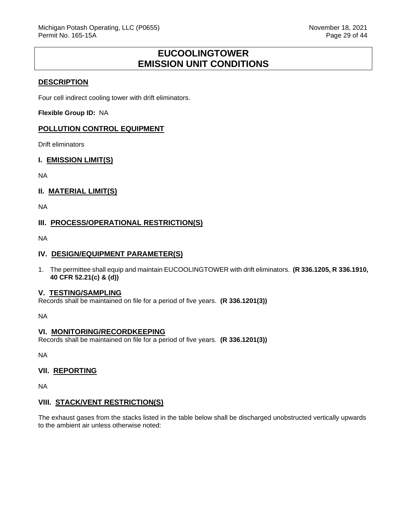# **EUCOOLINGTOWER EMISSION UNIT CONDITIONS**

### <span id="page-29-0"></span>**DESCRIPTION**

Four cell indirect cooling tower with drift eliminators.

**Flexible Group ID:** NA

### **POLLUTION CONTROL EQUIPMENT**

Drift eliminators

#### **I. EMISSION LIMIT(S)**

NA

### **II. MATERIAL LIMIT(S)**

NA

## **III. PROCESS/OPERATIONAL RESTRICTION(S)**

NA

#### **IV. DESIGN/EQUIPMENT PARAMETER(S)**

1. The permittee shall equip and maintain EUCOOLINGTOWER with drift eliminators. **(R 336.1205, R 336.1910, 40 CFR 52.21(c) & (d))**

#### **V. TESTING/SAMPLING**

Records shall be maintained on file for a period of five years. **(R 336.1201(3))**

NA

#### **VI. MONITORING/RECORDKEEPING**

Records shall be maintained on file for a period of five years. **(R 336.1201(3))**

NA

#### **VII. REPORTING**

NA

#### **VIII. STACK/VENT RESTRICTION(S)**

The exhaust gases from the stacks listed in the table below shall be discharged unobstructed vertically upwards to the ambient air unless otherwise noted: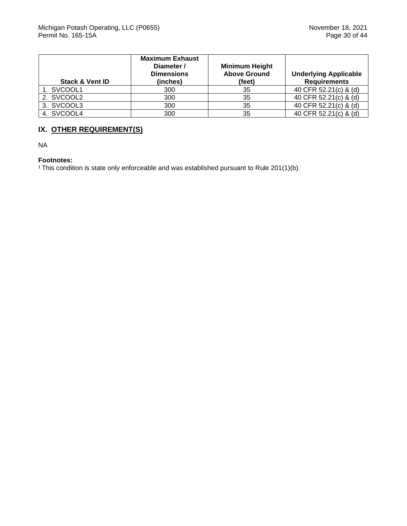| <b>Stack &amp; Vent ID</b> | <b>Maximum Exhaust</b><br>Diameter /<br><b>Dimensions</b><br>(inches) | <b>Minimum Height</b><br><b>Above Ground</b><br>(feet) | <b>Underlying Applicable</b><br><b>Requirements</b> |
|----------------------------|-----------------------------------------------------------------------|--------------------------------------------------------|-----------------------------------------------------|
| 1. SVCOOL1                 | 300                                                                   | 35                                                     | 40 CFR 52.21(c) & (d)                               |
| 2. SVCOOL2                 | 300                                                                   | 35                                                     | 40 CFR 52.21(c) & (d)                               |
| 3. SVCOOL3                 | 300                                                                   | 35                                                     | 40 CFR 52.21(c) & (d)                               |
| 4. SVCOOL4                 | 300                                                                   | 35                                                     | 40 CFR 52.21(c) & (d)                               |

## **IX. OTHER REQUIREMENT(S)**

NA

#### **Footnotes:**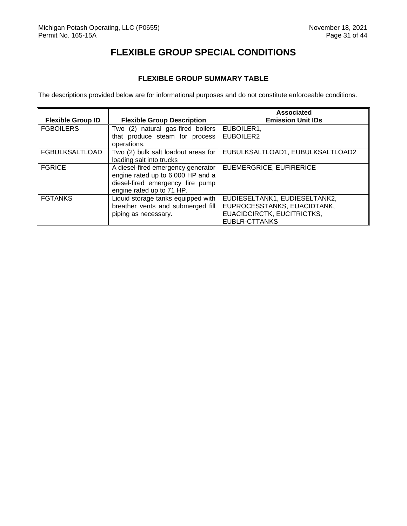# **FLEXIBLE GROUP SPECIAL CONDITIONS**

## **FLEXIBLE GROUP SUMMARY TABLE**

<span id="page-31-1"></span><span id="page-31-0"></span>The descriptions provided below are for informational purposes and do not constitute enforceable conditions.

|                          |                                     | <b>Associated</b>                |
|--------------------------|-------------------------------------|----------------------------------|
| <b>Flexible Group ID</b> | <b>Flexible Group Description</b>   | <b>Emission Unit IDs</b>         |
| <b>FGBOILERS</b>         | Two (2) natural gas-fired boilers   | EUBOILER1,                       |
|                          | that produce steam for process      | EUBOILER2                        |
|                          | operations.                         |                                  |
| <b>FGBULKSALTLOAD</b>    | Two (2) bulk salt loadout areas for | EUBULKSALTLOAD1, EUBULKSALTLOAD2 |
|                          | loading salt into trucks            |                                  |
| <b>FGRICE</b>            | A diesel-fired emergency generator  | EUEMERGRICE, EUFIRERICE          |
|                          | engine rated up to 6,000 HP and a   |                                  |
|                          | diesel-fired emergency fire pump    |                                  |
|                          | engine rated up to 71 HP.           |                                  |
| <b>FGTANKS</b>           | Liquid storage tanks equipped with  | EUDIESELTANK1, EUDIESELTANK2,    |
|                          | breather vents and submerged fill   | EUPROCESSTANKS, EUACIDTANK,      |
|                          | piping as necessary.                | EUACIDCIRCTK, EUCITRICTKS,       |
|                          |                                     | EUBLR-CTTANKS                    |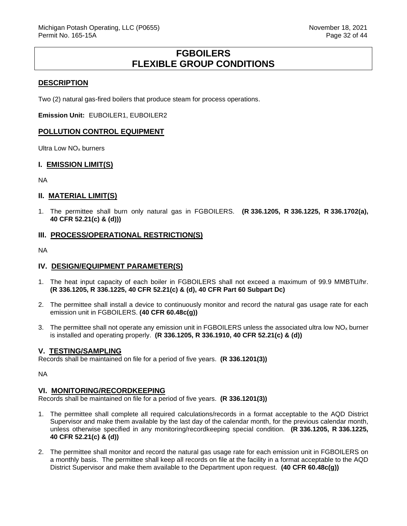## **FGBOILERS FLEXIBLE GROUP CONDITIONS**

#### <span id="page-32-0"></span>**DESCRIPTION**

Two (2) natural gas-fired boilers that produce steam for process operations.

**Emission Unit:** EUBOILER1, EUBOILER2

#### **POLLUTION CONTROL EQUIPMENT**

Ultra Low NOx burners

#### **I. EMISSION LIMIT(S)**

NA

#### **II. MATERIAL LIMIT(S)**

1. The permittee shall burn only natural gas in FGBOILERS. **(R 336.1205, R 336.1225, R 336.1702(a), 40 CFR 52.21(c) & (d)))**

#### **III. PROCESS/OPERATIONAL RESTRICTION(S)**

NA

#### **IV. DESIGN/EQUIPMENT PARAMETER(S)**

- 1. The heat input capacity of each boiler in FGBOILERS shall not exceed a maximum of 99.9 MMBTU/hr. **(R 336.1205, R 336.1225, 40 CFR 52.21(c) & (d), 40 CFR Part 60 Subpart Dc)**
- 2. The permittee shall install a device to continuously monitor and record the natural gas usage rate for each emission unit in FGBOILERS. **(40 CFR 60.48c(g))**
- 3. The permittee shall not operate any emission unit in FGBOILERS unless the associated ultra low  $NO<sub>x</sub>$  burner is installed and operating properly. **(R 336.1205, R 336.1910, 40 CFR 52.21(c) & (d))**

#### **V. TESTING/SAMPLING**

Records shall be maintained on file for a period of five years. **(R 336.1201(3))**

NA

#### **VI. MONITORING/RECORDKEEPING**

Records shall be maintained on file for a period of five years. **(R 336.1201(3))**

- 1. The permittee shall complete all required calculations/records in a format acceptable to the AQD District Supervisor and make them available by the last day of the calendar month, for the previous calendar month, unless otherwise specified in any monitoring/recordkeeping special condition. **(R 336.1205, R 336.1225, 40 CFR 52.21(c) & (d))**
- 2. The permittee shall monitor and record the natural gas usage rate for each emission unit in FGBOILERS on a monthly basis. The permittee shall keep all records on file at the facility in a format acceptable to the AQD District Supervisor and make them available to the Department upon request. **(40 CFR 60.48c(g))**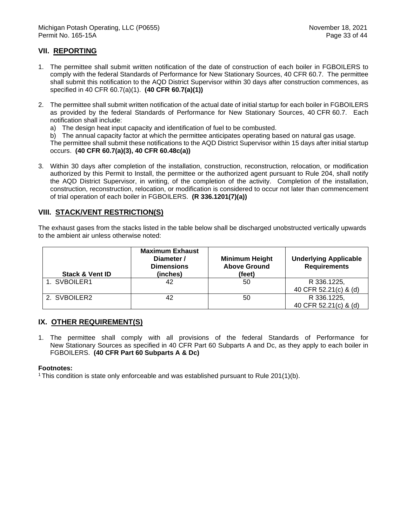## **VII. REPORTING**

- 1. The permittee shall submit written notification of the date of construction of each boiler in FGBOILERS to comply with the federal Standards of Performance for New Stationary Sources, 40 CFR 60.7. The permittee shall submit this notification to the AQD District Supervisor within 30 days after construction commences, as specified in 40 CFR 60.7(a)(1). **(40 CFR 60.7(a)(1))**
- 2. The permittee shall submit written notification of the actual date of initial startup for each boiler in FGBOILERS as provided by the federal Standards of Performance for New Stationary Sources, 40 CFR 60.7. Each notification shall include:
	- a) The design heat input capacity and identification of fuel to be combusted.
	- b) The annual capacity factor at which the permittee anticipates operating based on natural gas usage.

The permittee shall submit these notifications to the AQD District Supervisor within 15 days after initial startup occurs. **(40 CFR 60.7(a)(3), 40 CFR 60.48c(a))**

3. Within 30 days after completion of the installation, construction, reconstruction, relocation, or modification authorized by this Permit to Install, the permittee or the authorized agent pursuant to Rule 204, shall notify the AQD District Supervisor, in writing, of the completion of the activity. Completion of the installation, construction, reconstruction, relocation, or modification is considered to occur not later than commencement of trial operation of each boiler in FGBOILERS. **(R 336.1201(7)(a))**

### **VIII. STACK/VENT RESTRICTION(S)**

The exhaust gases from the stacks listed in the table below shall be discharged unobstructed vertically upwards to the ambient air unless otherwise noted:

| <b>Stack &amp; Vent ID</b> | <b>Maximum Exhaust</b><br>Diameter /<br><b>Dimensions</b><br>(inches) | <b>Minimum Height</b><br><b>Above Ground</b><br>(feet) | <b>Underlying Applicable</b><br><b>Requirements</b> |
|----------------------------|-----------------------------------------------------------------------|--------------------------------------------------------|-----------------------------------------------------|
| 1. SVBOILER1               | 42                                                                    | 50                                                     | R 336.1225,                                         |
|                            |                                                                       |                                                        | 40 CFR 52.21(c) & (d)                               |
| 2. SVBOILER2               | 42                                                                    | 50                                                     | R 336.1225,                                         |
|                            |                                                                       |                                                        | 40 CFR 52.21(c) & (d)                               |

#### **IX. OTHER REQUIREMENT(S)**

1. The permittee shall comply with all provisions of the federal Standards of Performance for New Stationary Sources as specified in 40 CFR Part 60 Subparts A and Dc, as they apply to each boiler in FGBOILERS. **(40 CFR Part 60 Subparts A & Dc)**

#### **Footnotes:**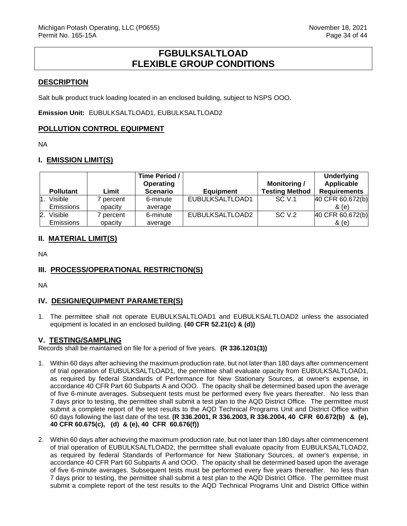## **FGBULKSALTLOAD FLEXIBLE GROUP CONDITIONS**

### <span id="page-34-0"></span>**DESCRIPTION**

Salt bulk product truck loading located in an enclosed building, subject to NSPS OOO.

**Emission Unit:** EUBULKSALTLOAD1, EUBULKSALTLOAD2

#### **POLLUTION CONTROL EQUIPMENT**

NA

### **I. EMISSION LIMIT(S)**

| <b>Pollutant</b>          | Limit   | Time Period /<br>Operating<br><b>Scenario</b> | <b>Equipment</b> | <b>Monitoring /</b><br><b>Testing Method</b> | <b>Underlying</b><br>Applicable<br><b>Requirements</b> |
|---------------------------|---------|-----------------------------------------------|------------------|----------------------------------------------|--------------------------------------------------------|
| Visible                   | percent | 6-minute                                      | EUBULKSALTLOAD1  | SC V.1                                       | 40 CFR 60.672(b)                                       |
| <b>Emissions</b>          | opacity | average                                       |                  |                                              | & (e)                                                  |
| Visible<br>$\mathbf{2}$ . | percent | 6-minute                                      | EUBULKSALTLOAD2  | SC V.2                                       | 40 CFR 60.672(b)                                       |
| <b>Emissions</b>          | opacity | average                                       |                  |                                              | & (e)                                                  |

## **II. MATERIAL LIMIT(S)**

NA

## **III. PROCESS/OPERATIONAL RESTRICTION(S)**

NA

## **IV. DESIGN/EQUIPMENT PARAMETER(S)**

1. The permittee shall not operate EUBULKSALTLOAD1 and EUBULKSALTLOAD2 unless the associated equipment is located in an enclosed building. **(40 CFR 52.21(c) & (d))**

#### **V. TESTING/SAMPLING**

Records shall be maintained on file for a period of five years. **(R 336.1201(3))**

- 1. Within 60 days after achieving the maximum production rate, but not later than 180 days after commencement of trial operation of EUBULKSALTLOAD1, the permittee shall evaluate opacity from EUBULKSALTLOAD1, as required by federal Standards of Performance for New Stationary Sources, at owner's expense, in accordance 40 CFR Part 60 Subparts A and OOO. The opacity shall be determined based upon the average of five 6-minute averages. Subsequent tests must be performed every five years thereafter. No less than 7 days prior to testing, the permittee shall submit a test plan to the AQD District Office. The permittee must submit a complete report of the test results to the AQD Technical Programs Unit and District Office within 60 days following the last date of the test. **(R 336.2001, R 336.2003, R 336.2004, 40 CFR 60.672(b) & (e), 40 CFR 60.675(c), (d) & (e), 40 CFR 60.676(f))**
- 2. Within 60 days after achieving the maximum production rate, but not later than 180 days after commencement of trial operation of EUBULKSALTLOAD2, the permittee shall evaluate opacity from EUBULKSALTLOAD2, as required by federal Standards of Performance for New Stationary Sources, at owner's expense, in accordance 40 CFR Part 60 Subparts A and OOO. The opacity shall be determined based upon the average of five 6-minute averages. Subsequent tests must be performed every five years thereafter. No less than 7 days prior to testing, the permittee shall submit a test plan to the AQD District Office. The permittee must submit a complete report of the test results to the AQD Technical Programs Unit and District Office within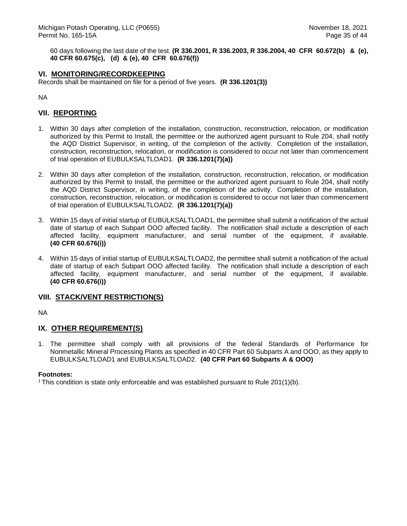60 days following the last date of the test. **(R 336.2001, R 336.2003, R 336.2004, 40 CFR 60.672(b) & (e), 40 CFR 60.675(c), (d) & (e), 40 CFR 60.676(f))** 

### **VI. MONITORING/RECORDKEEPING**

Records shall be maintained on file for a period of five years. **(R 336.1201(3))**

NA

## **VII. REPORTING**

- 1. Within 30 days after completion of the installation, construction, reconstruction, relocation, or modification authorized by this Permit to Install, the permittee or the authorized agent pursuant to Rule 204, shall notify the AQD District Supervisor, in writing, of the completion of the activity. Completion of the installation, construction, reconstruction, relocation, or modification is considered to occur not later than commencement of trial operation of EUBULKSALTLOAD1. **(R 336.1201(7)(a))**
- 2. Within 30 days after completion of the installation, construction, reconstruction, relocation, or modification authorized by this Permit to Install, the permittee or the authorized agent pursuant to Rule 204, shall notify the AQD District Supervisor, in writing, of the completion of the activity. Completion of the installation, construction, reconstruction, relocation, or modification is considered to occur not later than commencement of trial operation of EUBULKSALTLOAD2. **(R 336.1201(7)(a))**
- 3. Within 15 days of initial startup of EUBULKSALTLOAD1, the permittee shall submit a notification of the actual date of startup of each Subpart OOO affected facility. The notification shall include a description of each affected facility, equipment manufacturer, and serial number of the equipment, if available. **(40 CFR 60.676(i))**
- 4. Within 15 days of initial startup of EUBULKSALTLOAD2, the permittee shall submit a notification of the actual date of startup of each Subpart OOO affected facility. The notification shall include a description of each affected facility, equipment manufacturer, and serial number of the equipment, if available. **(40 CFR 60.676(i))**

#### **VIII. STACK/VENT RESTRICTION(S)**

NA

#### **IX. OTHER REQUIREMENT(S)**

1. The permittee shall comply with all provisions of the federal Standards of Performance for Nonmetallic Mineral Processing Plants as specified in 40 CFR Part 60 Subparts A and OOO, as they apply to EUBULKSALTLOAD1 and EUBULKSALTLOAD2. **(40 CFR Part 60 Subparts A & OOO)**

#### **Footnotes:**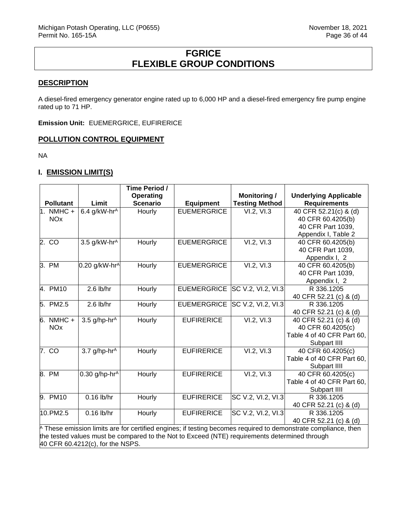# **FGRICE FLEXIBLE GROUP CONDITIONS**

#### <span id="page-36-0"></span>**DESCRIPTION**

A diesel-fired emergency generator engine rated up to 6,000 HP and a diesel-fired emergency fire pump engine rated up to 71 HP.

**Emission Unit:** EUEMERGRICE, EUFIRERICE

#### **POLLUTION CONTROL EQUIPMENT**

NA

### **I. EMISSION LIMIT(S)**

|                                                                                                                         |                             | Time Period /    |                    |                       |                              |  |
|-------------------------------------------------------------------------------------------------------------------------|-----------------------------|------------------|--------------------|-----------------------|------------------------------|--|
|                                                                                                                         |                             | <b>Operating</b> |                    | <b>Monitoring /</b>   | <b>Underlying Applicable</b> |  |
| <b>Pollutant</b>                                                                                                        | Limit                       | <b>Scenario</b>  | <b>Equipment</b>   | <b>Testing Method</b> | <b>Requirements</b>          |  |
| $1.$ NMHC +                                                                                                             | $6.4$ g/kW-hr <sup>A</sup>  | Hourly           | <b>EUEMERGRICE</b> | VI.2, VI.3            | 40 CFR 52.21(c) & (d)        |  |
| <b>NO<sub>x</sub></b>                                                                                                   |                             |                  |                    |                       | 40 CFR 60.4205(b)            |  |
|                                                                                                                         |                             |                  |                    |                       | 40 CFR Part 1039,            |  |
|                                                                                                                         |                             |                  |                    |                       | Appendix I, Table 2          |  |
| 2. CO                                                                                                                   | 3.5 g/kW-hr <sup>A</sup>    | Hourly           | <b>EUEMERGRICE</b> | VI.2, VI.3            | 40 CFR 60.4205(b)            |  |
|                                                                                                                         |                             |                  |                    |                       | 40 CFR Part 1039,            |  |
|                                                                                                                         |                             |                  |                    |                       | Appendix I, 2                |  |
| 3. PM                                                                                                                   | $0.20$ g/kW-hr <sup>A</sup> | Hourly           | <b>EUEMERGRICE</b> | VI.2, VI.3            | 40 CFR 60.4205(b)            |  |
|                                                                                                                         |                             |                  |                    |                       | 40 CFR Part 1039,            |  |
|                                                                                                                         |                             |                  |                    |                       | Appendix I, 2                |  |
| 4. PM10                                                                                                                 | $2.6$ lb/hr                 | Hourly           | <b>EUEMERGRICE</b> | SC V.2, VI.2, VI.3    | R 336.1205                   |  |
|                                                                                                                         |                             |                  |                    |                       | 40 CFR 52.21 (c) & (d)       |  |
| 5. PM2.5                                                                                                                | $2.6$ lb/hr                 | Hourly           | <b>EUEMERGRICE</b> | SC V.2, VI.2, VI.3    | R 336.1205                   |  |
|                                                                                                                         |                             |                  |                    |                       | 40 CFR 52.21 (c) & (d)       |  |
| 6. NMHC +                                                                                                               | 3.5 $g/hp-hrA$              | Hourly           | <b>EUFIRERICE</b>  | VI.2, VI.3            | 40 CFR 52.21 (c) & (d)       |  |
| <b>NO<sub>x</sub></b>                                                                                                   |                             |                  |                    |                       | 40 CFR 60.4205(c)            |  |
|                                                                                                                         |                             |                  |                    |                       | Table 4 of 40 CFR Part 60,   |  |
|                                                                                                                         |                             |                  |                    |                       | Subpart IIII                 |  |
| 7. CO                                                                                                                   | $3.7$ g/hp-hr <sup>A</sup>  | Hourly           | <b>EUFIRERICE</b>  | VI.2, VI.3            | 40 CFR 60.4205(c)            |  |
|                                                                                                                         |                             |                  |                    |                       | Table 4 of 40 CFR Part 60,   |  |
|                                                                                                                         |                             |                  |                    |                       | Subpart IIII                 |  |
| 8. PM                                                                                                                   | 0.30 g/hp-hr $^{A}$         | Hourly           | <b>EUFIRERICE</b>  | VI.2, VI.3            | 40 CFR 60.4205(c)            |  |
|                                                                                                                         |                             |                  |                    |                       | Table 4 of 40 CFR Part 60,   |  |
|                                                                                                                         |                             |                  |                    |                       | Subpart IIII                 |  |
| 9. PM10                                                                                                                 | $0.16$ lb/hr                | Hourly           | <b>EUFIRERICE</b>  | SC V.2, VI.2, VI.3    | R 336.1205                   |  |
|                                                                                                                         |                             |                  |                    |                       | 40 CFR 52.21 (c) & (d)       |  |
| 10.PM2.5                                                                                                                | 0.16 lb/hr                  | Hourly           | <b>EUFIRERICE</b>  | SC V.2, VI.2, VI.3    | R 336.1205                   |  |
|                                                                                                                         |                             |                  |                    |                       | 40 CFR 52.21 (c) & (d)       |  |
| $\uparrow$ These emission limits are for certified engines; if testing becomes required to demonstrate compliance, then |                             |                  |                    |                       |                              |  |
| the tested values must be compared to the Not to Exceed (NTE) requirements determined through                           |                             |                  |                    |                       |                              |  |
| 40 CFR 60.4212(c), for the NSPS.                                                                                        |                             |                  |                    |                       |                              |  |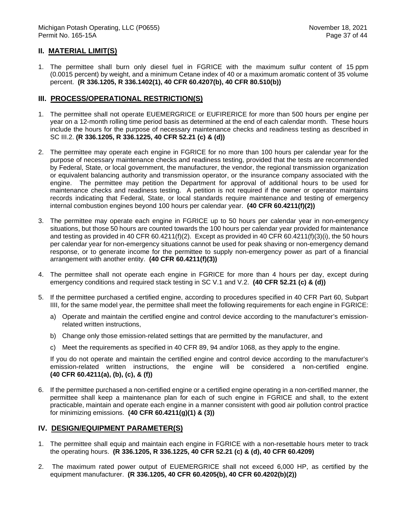### **II. MATERIAL LIMIT(S)**

1. The permittee shall burn only diesel fuel in FGRICE with the maximum sulfur content of 15 ppm (0.0015 percent) by weight, and a minimum Cetane index of 40 or a maximum aromatic content of 35 volume percent. **(R 336.1205, R 336.1402(1), 40 CFR 60.4207(b), 40 CFR 80.510(b))**

#### **III. PROCESS/OPERATIONAL RESTRICTION(S)**

- 1. The permittee shall not operate EUEMERGRICE or EUFIRERICE for more than 500 hours per engine per year on a 12-month rolling time period basis as determined at the end of each calendar month. These hours include the hours for the purpose of necessary maintenance checks and readiness testing as described in SC III.2. **(R 336.1205, R 336.1225, 40 CFR 52.21 (c) & (d))**
- 2. The permittee may operate each engine in FGRICE for no more than 100 hours per calendar year for the purpose of necessary maintenance checks and readiness testing, provided that the tests are recommended by Federal, State, or local government, the manufacturer, the vendor, the regional transmission organization or equivalent balancing authority and transmission operator, or the insurance company associated with the engine. The permittee may petition the Department for approval of additional hours to be used for maintenance checks and readiness testing. A petition is not required if the owner or operator maintains records indicating that Federal, State, or local standards require maintenance and testing of emergency internal combustion engines beyond 100 hours per calendar year. **(40 CFR 60.4211(f)(2))**
- 3. The permittee may operate each engine in FGRICE up to 50 hours per calendar year in non-emergency situations, but those 50 hours are counted towards the 100 hours per calendar year provided for maintenance and testing as provided in 40 CFR 60.4211(f)(2). Except as provided in 40 CFR 60.4211(f)(3)(i), the 50 hours per calendar year for non-emergency situations cannot be used for peak shaving or non-emergency demand response, or to generate income for the permittee to supply non-emergency power as part of a financial arrangement with another entity. **(40 CFR 60.4211(f)(3))**
- 4. The permittee shall not operate each engine in FGRICE for more than 4 hours per day, except during emergency conditions and required stack testing in SC V.1 and V.2. **(40 CFR 52.21 (c) & (d))**
- 5. If the permittee purchased a certified engine, according to procedures specified in 40 CFR Part 60, Subpart IIII, for the same model year, the permittee shall meet the following requirements for each engine in FGRICE:
	- a) Operate and maintain the certified engine and control device according to the manufacturer's emissionrelated written instructions,
	- b) Change only those emission-related settings that are permitted by the manufacturer, and
	- c) Meet the requirements as specified in 40 CFR 89, 94 and/or 1068, as they apply to the engine.

If you do not operate and maintain the certified engine and control device according to the manufacturer's emission-related written instructions, the engine will be considered a non-certified engine. **(40 CFR 60.4211(a), (b), (c), & (f))**

6. If the permittee purchased a non-certified engine or a certified engine operating in a non-certified manner, the permittee shall keep a maintenance plan for each of such engine in FGRICE and shall, to the extent practicable, maintain and operate each engine in a manner consistent with good air pollution control practice for minimizing emissions. **(40 CFR 60.4211(g)(1) & (3))**

#### **IV. DESIGN/EQUIPMENT PARAMETER(S)**

- 1. The permittee shall equip and maintain each engine in FGRICE with a non-resettable hours meter to track the operating hours. **(R 336.1205, R 336.1225, 40 CFR 52.21 (c) & (d), 40 CFR 60.4209)**
- 2. The maximum rated power output of EUEMERGRICE shall not exceed 6,000 HP, as certified by the equipment manufacturer. **(R 336.1205, 40 CFR 60.4205(b), 40 CFR 60.4202(b)(2))**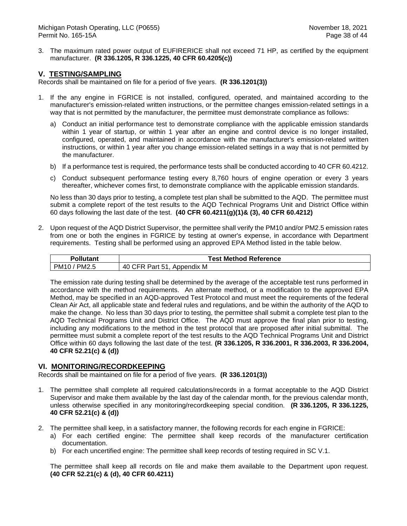3. The maximum rated power output of EUFIRERICE shall not exceed 71 HP, as certified by the equipment manufacturer. **(R 336.1205, R 336.1225, 40 CFR 60.4205(c))**

### **V. TESTING/SAMPLING**

Records shall be maintained on file for a period of five years. **(R 336.1201(3))**

- 1. If the any engine in FGRICE is not installed, configured, operated, and maintained according to the manufacturer's emission-related written instructions, or the permittee changes emission-related settings in a way that is not permitted by the manufacturer, the permittee must demonstrate compliance as follows:
	- a) Conduct an initial performance test to demonstrate compliance with the applicable emission standards within 1 year of startup, or within 1 year after an engine and control device is no longer installed, configured, operated, and maintained in accordance with the manufacturer's emission-related written instructions, or within 1 year after you change emission-related settings in a way that is not permitted by the manufacturer.
	- b) If a performance test is required, the performance tests shall be conducted according to 40 CFR 60.4212.
	- c) Conduct subsequent performance testing every 8,760 hours of engine operation or every 3 years thereafter, whichever comes first, to demonstrate compliance with the applicable emission standards.

No less than 30 days prior to testing, a complete test plan shall be submitted to the AQD. The permittee must submit a complete report of the test results to the AQD Technical Programs Unit and District Office within 60 days following the last date of the test. **(40 CFR 60.4211(g)(1)& (3), 40 CFR 60.4212)**

2. Upon request of the AQD District Supervisor, the permittee shall verify the PM10 and/or PM2.5 emission rates from one or both the engines in FGRICE by testing at owner's expense, in accordance with Department requirements. Testing shall be performed using an approved EPA Method listed in the table below.

| <b>Pollutant</b>            | <b>Test Method Reference</b>             |  |  |
|-----------------------------|------------------------------------------|--|--|
| PM <sub>10</sub> ,<br>PM2.5 | 40<br>CER<br>51<br>Appendix<br>Part<br>M |  |  |

The emission rate during testing shall be determined by the average of the acceptable test runs performed in accordance with the method requirements. An alternate method, or a modification to the approved EPA Method, may be specified in an AQD-approved Test Protocol and must meet the requirements of the federal Clean Air Act, all applicable state and federal rules and regulations, and be within the authority of the AQD to make the change. No less than 30 days prior to testing, the permittee shall submit a complete test plan to the AQD Technical Programs Unit and District Office. The AQD must approve the final plan prior to testing, including any modifications to the method in the test protocol that are proposed after initial submittal. The permittee must submit a complete report of the test results to the AQD Technical Programs Unit and District Office within 60 days following the last date of the test. **(R 336.1205, R 336.2001, R 336.2003, R 336.2004, 40 CFR 52.21(c) & (d))** 

#### **VI. MONITORING/RECORDKEEPING**

Records shall be maintained on file for a period of five years. **(R 336.1201(3))**

- 1. The permittee shall complete all required calculations/records in a format acceptable to the AQD District Supervisor and make them available by the last day of the calendar month, for the previous calendar month, unless otherwise specified in any monitoring/recordkeeping special condition. **(R 336.1205, R 336.1225, 40 CFR 52.21(c) & (d))**
- 2. The permittee shall keep, in a satisfactory manner, the following records for each engine in FGRICE:
	- a) For each certified engine: The permittee shall keep records of the manufacturer certification documentation.
	- b) For each uncertified engine: The permittee shall keep records of testing required in SC V.1.

The permittee shall keep all records on file and make them available to the Department upon request. **(40 CFR 52.21(c) & (d), 40 CFR 60.4211)**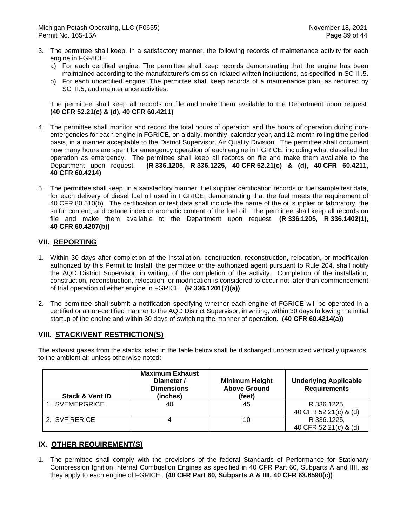- 3. The permittee shall keep, in a satisfactory manner, the following records of maintenance activity for each engine in FGRICE:
	- a) For each certified engine: The permittee shall keep records demonstrating that the engine has been maintained according to the manufacturer's emission-related written instructions, as specified in SC III.5.
	- b) For each uncertified engine: The permittee shall keep records of a maintenance plan, as required by SC III.5, and maintenance activities.

The permittee shall keep all records on file and make them available to the Department upon request. **(40 CFR 52.21(c) & (d), 40 CFR 60.4211)**

- 4. The permittee shall monitor and record the total hours of operation and the hours of operation during nonemergencies for each engine in FGRICE, on a daily, monthly, calendar year, and 12-month rolling time period basis, in a manner acceptable to the District Supervisor, Air Quality Division. The permittee shall document how many hours are spent for emergency operation of each engine in FGRICE, including what classified the operation as emergency. The permittee shall keep all records on file and make them available to the Department upon request. **(R 336.1205, R 336.1225, 40 CFR 52.21(c) & (d), 40 CFR 60.4211, 40 CFR 60.4214)**
- 5. The permittee shall keep, in a satisfactory manner, fuel supplier certification records or fuel sample test data, for each delivery of diesel fuel oil used in FGRICE, demonstrating that the fuel meets the requirement of 40 CFR 80.510(b). The certification or test data shall include the name of the oil supplier or laboratory, the sulfur content, and cetane index or aromatic content of the fuel oil. The permittee shall keep all records on file and make them available to the Department upon request. **(R 336.1205, R 336.1402(1), 40 CFR 60.4207(b))**

### **VII. REPORTING**

- 1. Within 30 days after completion of the installation, construction, reconstruction, relocation, or modification authorized by this Permit to Install, the permittee or the authorized agent pursuant to Rule 204, shall notify the AQD District Supervisor, in writing, of the completion of the activity. Completion of the installation, construction, reconstruction, relocation, or modification is considered to occur not later than commencement of trial operation of either engine in FGRICE. **(R 336.1201(7)(a))**
- 2. The permittee shall submit a notification specifying whether each engine of FGRICE will be operated in a certified or a non-certified manner to the AQD District Supervisor, in writing, within 30 days following the initial startup of the engine and within 30 days of switching the manner of operation. **(40 CFR 60.4214(a))**

#### **VIII. STACK/VENT RESTRICTION(S)**

The exhaust gases from the stacks listed in the table below shall be discharged unobstructed vertically upwards to the ambient air unless otherwise noted:

| <b>Stack &amp; Vent ID</b> | <b>Maximum Exhaust</b><br>Diameter /<br><b>Dimensions</b><br>(inches) | <b>Minimum Height</b><br><b>Above Ground</b><br>(feet) | <b>Underlying Applicable</b><br><b>Requirements</b> |
|----------------------------|-----------------------------------------------------------------------|--------------------------------------------------------|-----------------------------------------------------|
| 1. SVEMERGRICE             | 40                                                                    | 45                                                     | R 336.1225,                                         |
|                            |                                                                       |                                                        | 40 CFR 52.21(c) & (d)                               |
| 2. SVFIRERICE              |                                                                       | 10                                                     | R 336.1225,                                         |
|                            |                                                                       |                                                        | 40 CFR 52.21(c) & (d)                               |

## **IX. OTHER REQUIREMENT(S)**

1. The permittee shall comply with the provisions of the federal Standards of Performance for Stationary Compression Ignition Internal Combustion Engines as specified in 40 CFR Part 60, Subparts A and IIII, as they apply to each engine of FGRICE. **(40 CFR Part 60, Subparts A & IIII, 40 CFR 63.6590(c))**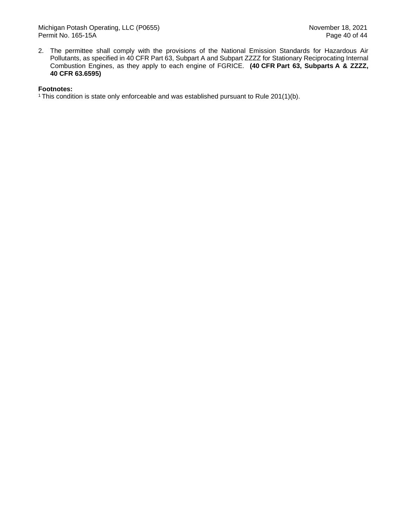2. The permittee shall comply with the provisions of the National Emission Standards for Hazardous Air Pollutants, as specified in 40 CFR Part 63, Subpart A and Subpart ZZZZ for Stationary Reciprocating Internal Combustion Engines, as they apply to each engine of FGRICE. **(40 CFR Part 63, Subparts A & ZZZZ, 40 CFR 63.6595)**

#### **Footnotes:**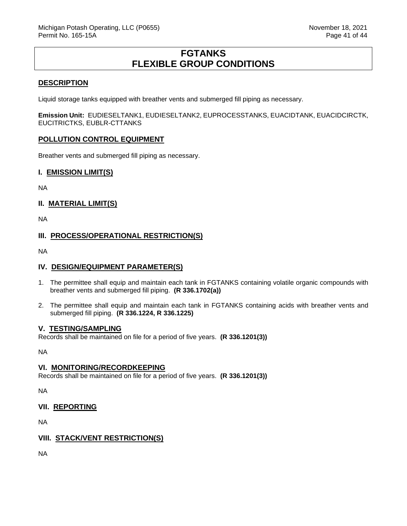## **FGTANKS FLEXIBLE GROUP CONDITIONS**

#### <span id="page-41-0"></span>**DESCRIPTION**

Liquid storage tanks equipped with breather vents and submerged fill piping as necessary.

**Emission Unit:** EUDIESELTANK1, EUDIESELTANK2, EUPROCESSTANKS, EUACIDTANK, EUACIDCIRCTK, EUCITRICTKS, EUBLR-CTTANKS

#### **POLLUTION CONTROL EQUIPMENT**

Breather vents and submerged fill piping as necessary.

#### **I. EMISSION LIMIT(S)**

NA

### **II. MATERIAL LIMIT(S)**

NA

### **III. PROCESS/OPERATIONAL RESTRICTION(S)**

NA

#### **IV. DESIGN/EQUIPMENT PARAMETER(S)**

- 1. The permittee shall equip and maintain each tank in FGTANKS containing volatile organic compounds with breather vents and submerged fill piping. **(R 336.1702(a))**
- 2. The permittee shall equip and maintain each tank in FGTANKS containing acids with breather vents and submerged fill piping. **(R 336.1224, R 336.1225)**

#### **V. TESTING/SAMPLING**

Records shall be maintained on file for a period of five years. **(R 336.1201(3))**

NA

#### **VI. MONITORING/RECORDKEEPING**

Records shall be maintained on file for a period of five years. **(R 336.1201(3))**

NA

**VII. REPORTING**

NA

#### **VIII. STACK/VENT RESTRICTION(S)**

NA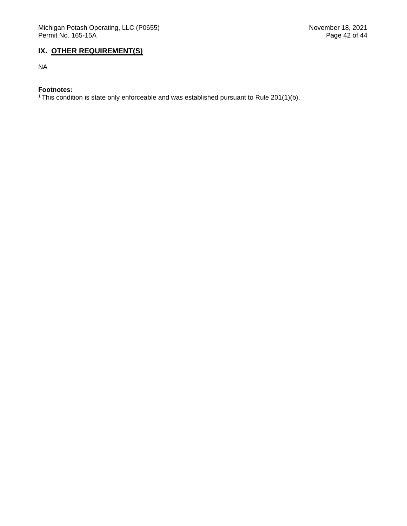## **IX. OTHER REQUIREMENT(S)**

NA

#### **Footnotes:**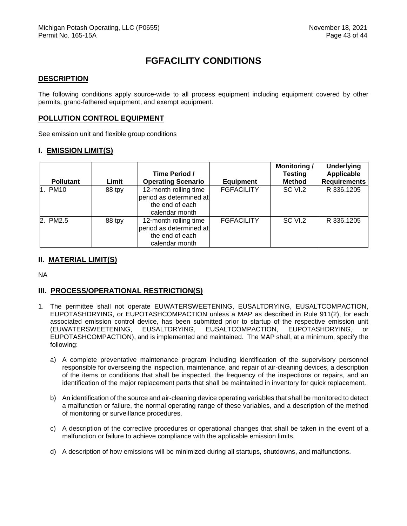# **FGFACILITY CONDITIONS**

#### <span id="page-43-0"></span>**DESCRIPTION**

The following conditions apply source-wide to all process equipment including equipment covered by other permits, grand-fathered equipment, and exempt equipment.

#### **POLLUTION CONTROL EQUIPMENT**

See emission unit and flexible group conditions

#### **I. EMISSION LIMIT(S)**

|                  |        | Time Period /                                                                         |                   | <b>Monitoring/</b><br><b>Testing</b> | <b>Underlying</b><br><b>Applicable</b> |
|------------------|--------|---------------------------------------------------------------------------------------|-------------------|--------------------------------------|----------------------------------------|
| <b>Pollutant</b> | Limit  | <b>Operating Scenario</b>                                                             | <b>Equipment</b>  | <b>Method</b>                        | <b>Requirements</b>                    |
| 1. PM10          | 88 tpy | 12-month rolling time<br>period as determined at<br>the end of each<br>calendar month | <b>FGFACILITY</b> | SC VI.2                              | R 336.1205                             |
| 2. PM2.5         | 88 tpy | 12-month rolling time<br>period as determined at<br>the end of each<br>calendar month | <b>FGFACILITY</b> | SC VI.2                              | R 336.1205                             |

#### **II. MATERIAL LIMIT(S)**

NA

#### **III. PROCESS/OPERATIONAL RESTRICTION(S)**

- 1. The permittee shall not operate EUWATERSWEETENING, EUSALTDRYING, EUSALTCOMPACTION, EUPOTASHDRYING, or EUPOTASHCOMPACTION unless a MAP as described in Rule 911(2), for each associated emission control device, has been submitted prior to startup of the respective emission unit (EUWATERSWEETENING, EUSALTDRYING, EUSALTCOMPACTION, EUPOTASHDRYING, or EUPOTASHCOMPACTION), and is implemented and maintained. The MAP shall, at a minimum, specify the following:
	- a) A complete preventative maintenance program including identification of the supervisory personnel responsible for overseeing the inspection, maintenance, and repair of air-cleaning devices, a description of the items or conditions that shall be inspected, the frequency of the inspections or repairs, and an identification of the major replacement parts that shall be maintained in inventory for quick replacement.
	- b) An identification of the source and air-cleaning device operating variables that shall be monitored to detect a malfunction or failure, the normal operating range of these variables, and a description of the method of monitoring or surveillance procedures.
	- c) A description of the corrective procedures or operational changes that shall be taken in the event of a malfunction or failure to achieve compliance with the applicable emission limits.
	- d) A description of how emissions will be minimized during all startups, shutdowns, and malfunctions.